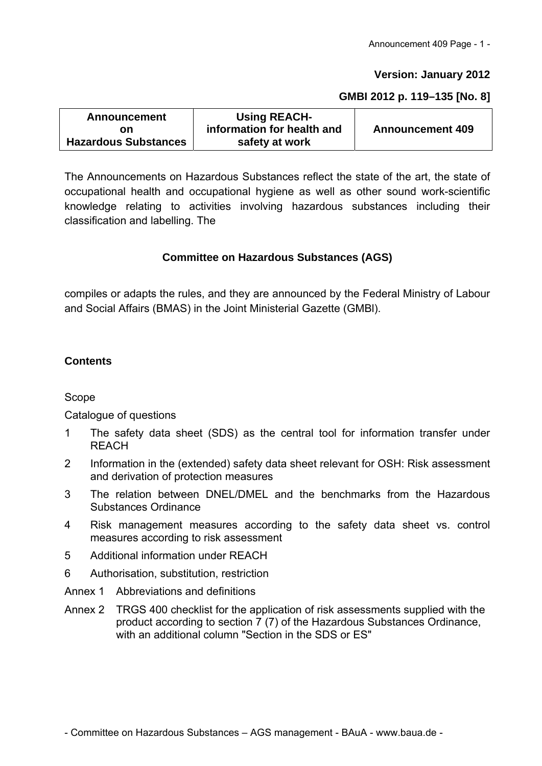#### **Version: January 2012**

#### **GMBI 2012 p. 119–135 [No. 8]**

| <b>Announcement</b>         | <b>Using REACH-</b>        |                         |  |  |
|-----------------------------|----------------------------|-------------------------|--|--|
| on                          | information for health and | <b>Announcement 409</b> |  |  |
| <b>Hazardous Substances</b> | safety at work             |                         |  |  |

The Announcements on Hazardous Substances reflect the state of the art, the state of occupational health and occupational hygiene as well as other sound work-scientific knowledge relating to activities involving hazardous substances including their classification and labelling. The

#### **Committee on Hazardous Substances (AGS)**

compiles or adapts the rules, and they are announced by the Federal Ministry of Labour and Social Affairs (BMAS) in the Joint Ministerial Gazette (GMBl).

## **Contents**

#### Scope

Catalogue of questions

- 1 The safety data sheet (SDS) as the central tool for information transfer under **RFACH**
- 2 Information in the (extended) safety data sheet relevant for OSH: Risk assessment and derivation of protection measures
- 3 The relation between DNEL/DMEL and the benchmarks from the Hazardous Substances Ordinance
- 4 Risk management measures according to the safety data sheet vs. control measures according to risk assessment
- 5 Additional information under REACH
- 6 Authorisation, substitution, restriction
- Annex 1 Abbreviations and definitions
- Annex 2 TRGS 400 checklist for the application of risk assessments supplied with the product according to section 7 (7) of the Hazardous Substances Ordinance, with an additional column "Section in the SDS or ES"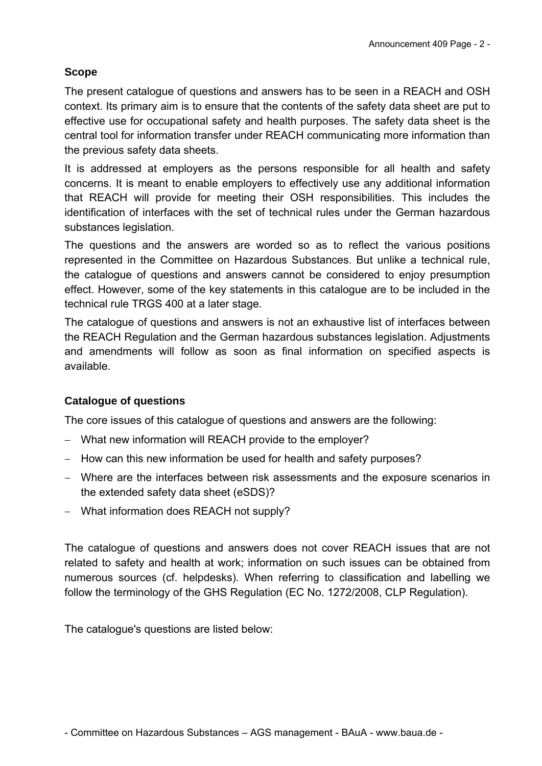# **Scope**

The present catalogue of questions and answers has to be seen in a REACH and OSH context. Its primary aim is to ensure that the contents of the safety data sheet are put to effective use for occupational safety and health purposes. The safety data sheet is the central tool for information transfer under REACH communicating more information than the previous safety data sheets.

It is addressed at employers as the persons responsible for all health and safety concerns. It is meant to enable employers to effectively use any additional information that REACH will provide for meeting their OSH responsibilities. This includes the identification of interfaces with the set of technical rules under the German hazardous substances legislation.

The questions and the answers are worded so as to reflect the various positions represented in the Committee on Hazardous Substances. But unlike a technical rule, the catalogue of questions and answers cannot be considered to enjoy presumption effect. However, some of the key statements in this catalogue are to be included in the technical rule TRGS 400 at a later stage.

The catalogue of questions and answers is not an exhaustive list of interfaces between the REACH Regulation and the German hazardous substances legislation. Adjustments and amendments will follow as soon as final information on specified aspects is available.

## **Catalogue of questions**

The core issues of this catalogue of questions and answers are the following:

- What new information will REACH provide to the employer?
- How can this new information be used for health and safety purposes?
- Where are the interfaces between risk assessments and the exposure scenarios in the extended safety data sheet (eSDS)?
- What information does REACH not supply?

The catalogue of questions and answers does not cover REACH issues that are not related to safety and health at work; information on such issues can be obtained from numerous sources (cf. helpdesks). When referring to classification and labelling we follow the terminology of the GHS Regulation (EC No. 1272/2008, CLP Regulation).

The catalogue's questions are listed below: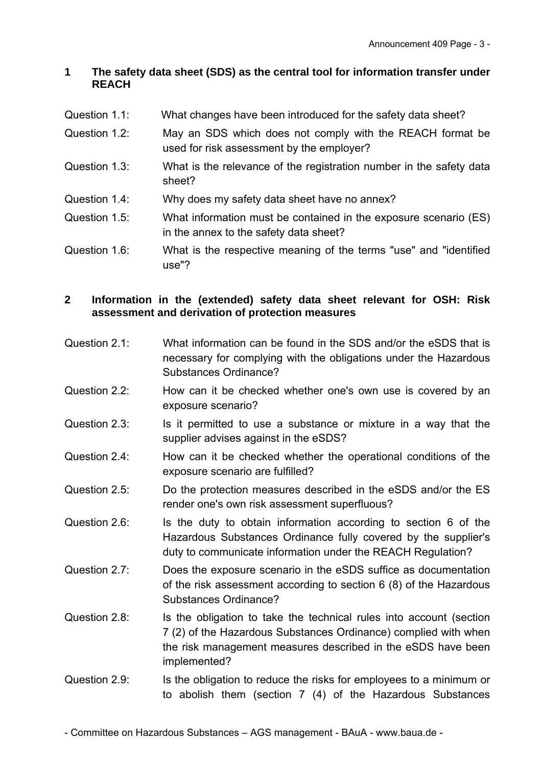# **1 The safety data sheet (SDS) as the central tool for information transfer under REACH**

- Question 1.1: What changes have been introduced for the safety data sheet?
- Question 1.2: May an SDS which does not comply with the REACH format be used for risk assessment by the employer?
- Question 1.3: What is the relevance of the registration number in the safety data sheet?
- Question 1.4: Why does my safety data sheet have no annex?
- Question 1.5: What information must be contained in the exposure scenario (ES) in the annex to the safety data sheet?
- Question 1.6: What is the respective meaning of the terms "use" and "identified use"?

# **2 Information in the (extended) safety data sheet relevant for OSH: Risk assessment and derivation of protection measures**

- Question 2.1: What information can be found in the SDS and/or the eSDS that is necessary for complying with the obligations under the Hazardous Substances Ordinance?
- Question 2.2: How can it be checked whether one's own use is covered by an exposure scenario?
- Question 2.3: Is it permitted to use a substance or mixture in a way that the supplier advises against in the eSDS?
- Question 2.4: How can it be checked whether the operational conditions of the exposure scenario are fulfilled?
- Question 2.5: Do the protection measures described in the eSDS and/or the ES render one's own risk assessment superfluous?
- Question 2.6: Is the duty to obtain information according to section 6 of the Hazardous Substances Ordinance fully covered by the supplier's duty to communicate information under the REACH Regulation?
- Question 2.7: Does the exposure scenario in the eSDS suffice as documentation of the risk assessment according to section 6 (8) of the Hazardous Substances Ordinance?
- Question 2.8: Is the obligation to take the technical rules into account (section 7 (2) of the Hazardous Substances Ordinance) complied with when the risk management measures described in the eSDS have been implemented?
- Question 2.9: Is the obligation to reduce the risks for employees to a minimum or to abolish them (section 7 (4) of the Hazardous Substances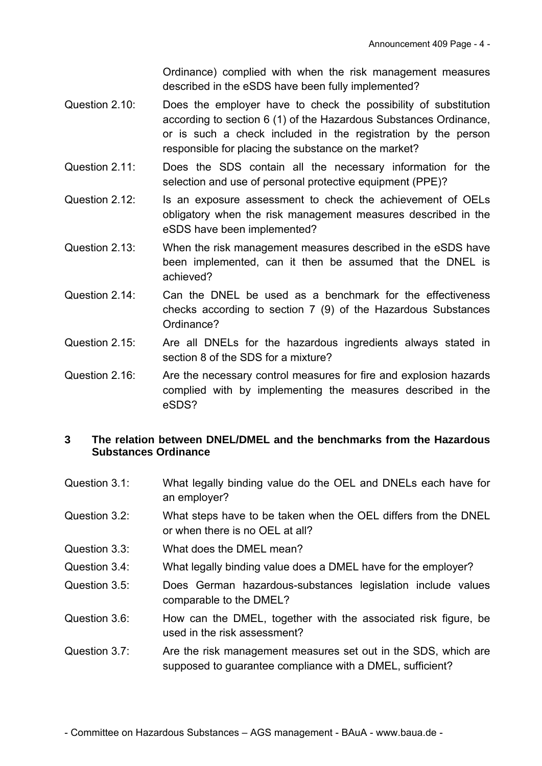Ordinance) complied with when the risk management measures described in the eSDS have been fully implemented?

- Question 2.10: Does the employer have to check the possibility of substitution according to section 6 (1) of the Hazardous Substances Ordinance, or is such a check included in the registration by the person responsible for placing the substance on the market?
- Question 2.11: Does the SDS contain all the necessary information for the selection and use of personal protective equipment (PPE)?
- Question 2.12: Is an exposure assessment to check the achievement of OELs obligatory when the risk management measures described in the eSDS have been implemented?
- Question 2.13: When the risk management measures described in the eSDS have been implemented, can it then be assumed that the DNEL is achieved?
- Question 2.14: Can the DNEL be used as a benchmark for the effectiveness checks according to section 7 (9) of the Hazardous Substances Ordinance?
- Question 2.15: Are all DNELs for the hazardous ingredients always stated in section 8 of the SDS for a mixture?
- Question 2.16: Are the necessary control measures for fire and explosion hazards complied with by implementing the measures described in the eSDS?

## **3 The relation between DNEL/DMEL and the benchmarks from the Hazardous Substances Ordinance**

- Question 3.1: What legally binding value do the OEL and DNELs each have for an employer?
- Question 3.2: What steps have to be taken when the OEL differs from the DNEL or when there is no OEL at all?
- Question 3.3: What does the DMEL mean?
- Question 3.4: What legally binding value does a DMEL have for the employer?
- Question 3.5: Does German hazardous-substances legislation include values comparable to the DMEL?
- Question 3.6: How can the DMEL, together with the associated risk figure, be used in the risk assessment?
- Question 3.7: Are the risk management measures set out in the SDS, which are supposed to guarantee compliance with a DMEL, sufficient?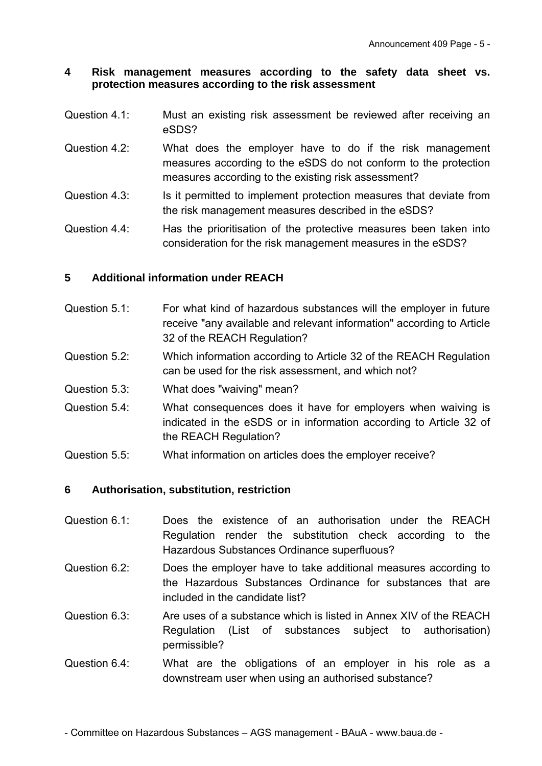#### **4 Risk management measures according to the safety data sheet vs. protection measures according to the risk assessment**

- Question 4.1: Must an existing risk assessment be reviewed after receiving an eSDS?
- Question 4.2: What does the employer have to do if the risk management measures according to the eSDS do not conform to the protection measures according to the existing risk assessment?
- Question 4.3: Is it permitted to implement protection measures that deviate from the risk management measures described in the eSDS?
- Question 4.4: Has the prioritisation of the protective measures been taken into consideration for the risk management measures in the eSDS?

# **5 Additional information under REACH**

- Question 5.1: For what kind of hazardous substances will the employer in future receive "any available and relevant information" according to Article 32 of the REACH Regulation?
- Question 5.2: Which information according to Article 32 of the REACH Regulation can be used for the risk assessment, and which not?
- Question 5.3: What does "waiving" mean?
- Question 5.4: What consequences does it have for employers when waiving is indicated in the eSDS or in information according to Article 32 of the REACH Regulation?
- Question 5.5: What information on articles does the employer receive?

# **6 Authorisation, substitution, restriction**

- Question 6.1: Does the existence of an authorisation under the REACH Regulation render the substitution check according to the Hazardous Substances Ordinance superfluous?
- Question 6.2: Does the employer have to take additional measures according to the Hazardous Substances Ordinance for substances that are included in the candidate list?
- Question 6.3: Are uses of a substance which is listed in Annex XIV of the REACH Regulation (List of substances subject to authorisation) permissible?
- Question 6.4: What are the obligations of an employer in his role as a downstream user when using an authorised substance?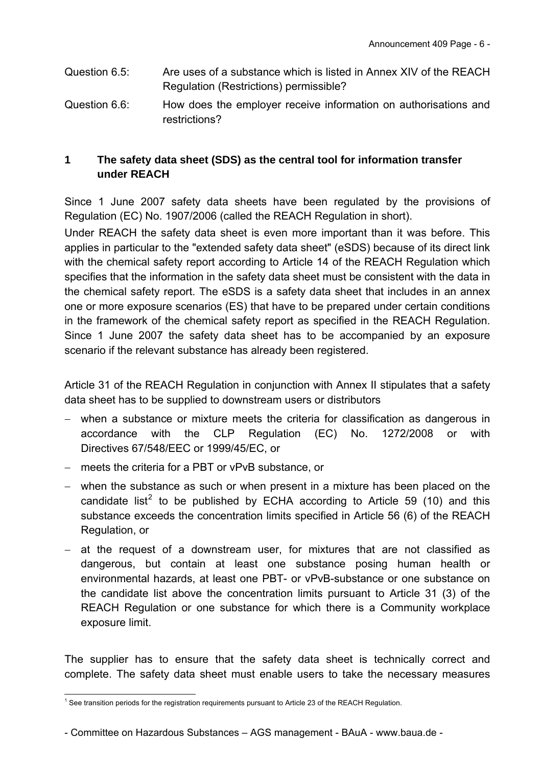- Question 6.5: Are uses of a substance which is listed in Annex XIV of the REACH Regulation (Restrictions) permissible?
- Question 6.6: How does the employer receive information on authorisations and restrictions?

# **1 The safety data sheet (SDS) as the central tool for information transfer under REACH**

Since 1 June 2007 safety data sheets have been regulated by the provisions of Regulation (EC) No. 1907/2006 (called the REACH Regulation in short).

Under REACH the safety data sheet is even more important than it was before. This applies in particular to the "extended safety data sheet" (eSDS) because of its direct link with the chemical safety report according to Article 14 of the REACH Regulation which specifies that the information in the safety data sheet must be consistent with the data in the chemical safety report. The eSDS is a safety data sheet that includes in an annex one or more exposure scenarios (ES) that have to be prepared under certain conditions in the framework of the chemical safety report as specified in the REACH Regulation. Since 1 June 2007 the safety data sheet has to be accompanied by an exposure scenario if the relevant substance has already been registered.

<span id="page-5-1"></span>Article 31 of the REACH Regulation in conjunction with Annex II stipulates that a safety data sheet has to be supplied to downstream users or distributors

- when a substance or mixture meets the criteria for classification as dangerous in accordance with the CLP Regulation (EC) No. 1272/2008 or with Directives 67/548/EEC or 1999/45/EC, or
- meets the criteria for a PBT or vPvB substance, or
- <span id="page-5-2"></span> when the substance as such or when present in a mixture has been placed on the candidate list<sup>[2](#page-5-0)</sup> to be published by ECHA according to Article 59 (10) and this substance exceeds the concentration limits specified in Article 56 (6) of the REACH Regulation, or
- at the request of a downstream user, for mixtures that are not classified as dangerous, but contain at least one substance posing human health or environmental hazards, at least one PBT- or vPvB-substance or one substance on the candidate list above the concentration limits pursuant to Article 31 (3) of the REACH Regulation or one substance for which there is a Community workplace exposure limit.

The supplier has to ensure that the safety data sheet is technically correct and complete. The safety data sheet must enable users to take the necessary measures

<span id="page-5-0"></span> 1 See transition periods for the registration requirements pursuant to Article 23 of the REACH Regulation.

<sup>-</sup> Committee on Hazardous Substances – AGS management - BAuA - www.baua.de -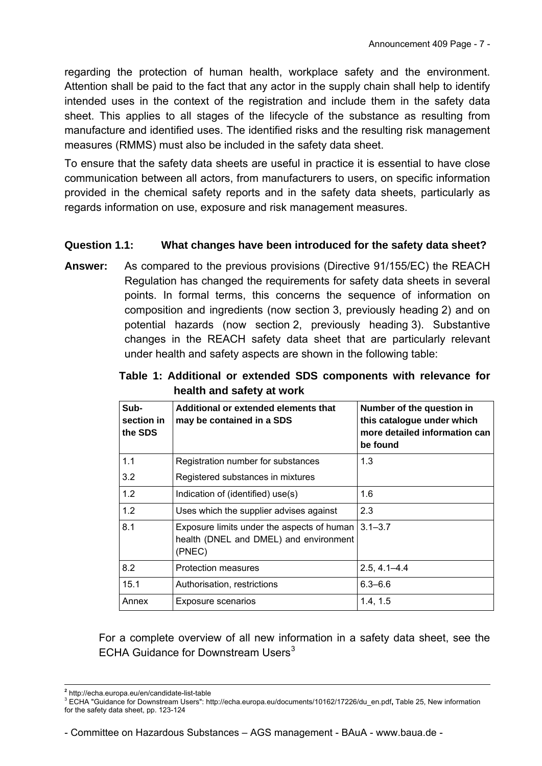regarding the protection of human health, workplace safety and the environment. Attention shall be paid to the fact that any actor in the supply chain shall help to identify intended uses in the context of the registration and include them in the safety data sheet. This applies to all stages of the lifecycle of the substance as resulting from manufacture and identified uses. The identified risks and the resulting risk management measures (RMMS) must also be included in the safety data sheet.

To ensure that the safety data sheets are useful in practice it is essential to have close communication between all actors, from manufacturers to users, on specific information provided in the chemical safety reports and in the safety data sheets, particularly as regards information on use, exposure and risk management measures.

## **Question 1.1: What changes have been introduced for the safety data sheet?**

**Answer:** As compared to the previous provisions (Directive 91/155/EC) the REACH Regulation has changed the requirements for safety data sheets in several points. In formal terms, this concerns the sequence of information on composition and ingredients (now section 3, previously heading 2) and on potential hazards (now section 2, previously heading 3). Substantive changes in the REACH safety data sheet that are particularly relevant under health and safety aspects are shown in the following table:

| Sub-<br>section in<br>the SDS | Additional or extended elements that<br>may be contained in a SDS                              | Number of the question in<br>this catalogue under which<br>more detailed information can<br>be found |  |
|-------------------------------|------------------------------------------------------------------------------------------------|------------------------------------------------------------------------------------------------------|--|
| 1.1                           | Registration number for substances                                                             | 1.3                                                                                                  |  |
| 3.2                           | Registered substances in mixtures                                                              |                                                                                                      |  |
| 1.2                           | Indication of (identified) use(s)                                                              | 1.6                                                                                                  |  |
| 1.2                           | Uses which the supplier advises against                                                        | 2.3                                                                                                  |  |
| 8.1                           | Exposure limits under the aspects of human<br>health (DNEL and DMEL) and environment<br>(PNEC) | $3.1 - 3.7$                                                                                          |  |
| 8.2                           | Protection measures                                                                            | $2.5, 4.1 - 4.4$                                                                                     |  |
| 15.1                          | Authorisation, restrictions                                                                    | $6.3 - 6.6$                                                                                          |  |
| Annex                         | Exposure scenarios                                                                             | 1.4, 1.5                                                                                             |  |

**Table 1: Additional or extended SDS components with relevance for health and safety at work**

For a complete overview of all new information in a safety data sheet, see the ECHA Guidance for Downstream Users $3$ 

- Committee on Hazardous Substances – AGS management - BAuA - www.baua.de -

<sup>-</sup>**<sup>2</sup>** <http://echa.europa.eu/en/candidate-list-table>

<span id="page-6-0"></span><sup>3</sup> ECHA "Guidance for Downstream Users": [http://echa.europa.eu/documents/10162/17226/du\\_en.pdf](http://echa.europa.eu/documents/10162/17226/du_en.pdf)**,** Table 25, New information for the safety data sheet, pp. 123-124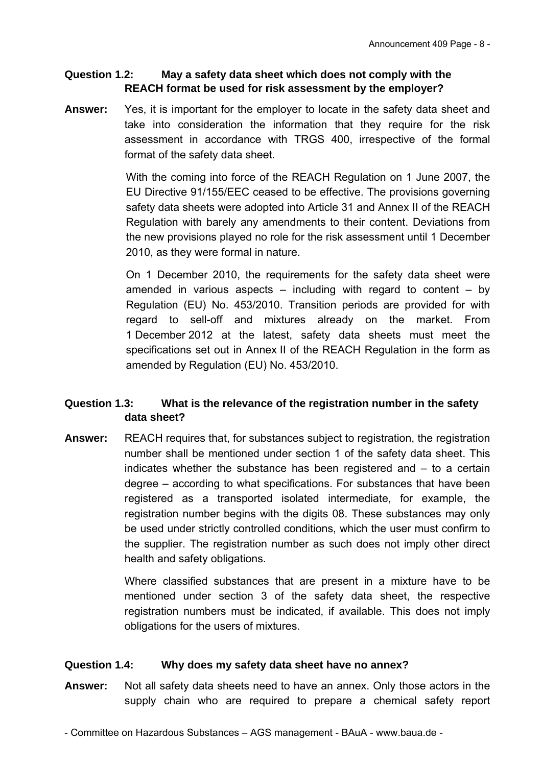#### **Question 1.2: May a safety data sheet which does not comply with the REACH format be used for risk assessment by the employer?**

**Answer:** Yes, it is important for the employer to locate in the safety data sheet and take into consideration the information that they require for the risk assessment in accordance with TRGS 400, irrespective of the formal format of the safety data sheet.

> With the coming into force of the REACH Regulation on 1 June 2007, the EU Directive 91/155/EEC ceased to be effective. The provisions governing safety data sheets were adopted into Article 31 and Annex II of the REACH Regulation with barely any amendments to their content. Deviations from the new provisions played no role for the risk assessment until 1 December 2010, as they were formal in nature.

> On 1 December 2010, the requirements for the safety data sheet were amended in various aspects  $-$  including with regard to content  $-$  by Regulation (EU) No. 453/2010. Transition periods are provided for with regard to sell-off and mixtures already on the market. From 1 December 2012 at the latest, safety data sheets must meet the specifications set out in Annex II of the REACH Regulation in the form as amended by Regulation (EU) No. 453/2010.

## **Question 1.3: What is the relevance of the registration number in the safety data sheet?**

**Answer:** REACH requires that, for substances subject to registration, the registration number shall be mentioned under section 1 of the safety data sheet. This indicates whether the substance has been registered and – to a certain degree – according to what specifications. For substances that have been registered as a transported isolated intermediate, for example, the registration number begins with the digits 08. These substances may only be used under strictly controlled conditions, which the user must confirm to the supplier. The registration number as such does not imply other direct health and safety obligations.

> Where classified substances that are present in a mixture have to be mentioned under section 3 of the safety data sheet, the respective registration numbers must be indicated, if available. This does not imply obligations for the users of mixtures.

#### **Question 1.4: Why does my safety data sheet have no annex?**

**Answer:** Not all safety data sheets need to have an annex. Only those actors in the supply chain who are required to prepare a chemical safety report

- Committee on Hazardous Substances – AGS management - BAuA - www.baua.de -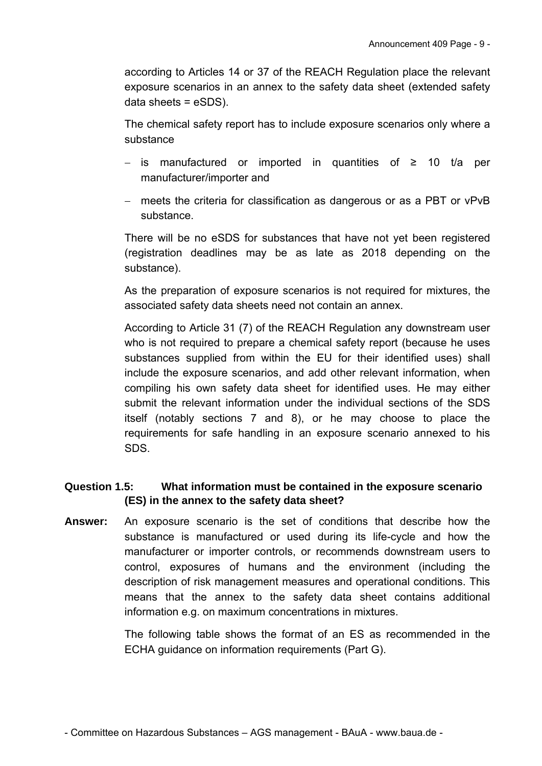according to Articles 14 or 37 of the REACH Regulation place the relevant exposure scenarios in an annex to the safety data sheet (extended safety data sheets = eSDS).

The chemical safety report has to include exposure scenarios only where a substance

- $-$  is manufactured or imported in quantities of ≥ 10 t/a per manufacturer/importer and
- meets the criteria for classification as dangerous or as a PBT or vPvB substance.

There will be no eSDS for substances that have not yet been registered (registration deadlines may be as late as 2018 depending on the substance).

As the preparation of exposure scenarios is not required for mixtures, the associated safety data sheets need not contain an annex.

 According to Article 31 (7) of the REACH Regulation any downstream user who is not required to prepare a chemical safety report (because he uses substances supplied from within the EU for their identified uses) shall include the exposure scenarios, and add other relevant information, when compiling his own safety data sheet for identified uses. He may either submit the relevant information under the individual sections of the SDS itself (notably sections 7 and 8), or he may choose to place the requirements for safe handling in an exposure scenario annexed to his SDS.

# **Question 1.5: What information must be contained in the exposure scenario (ES) in the annex to the safety data sheet?**

**Answer:** An exposure scenario is the set of conditions that describe how the substance is manufactured or used during its life-cycle and how the manufacturer or importer controls, or recommends downstream users to control, exposures of humans and the environment (including the description of risk management measures and operational conditions. This means that the annex to the safety data sheet contains additional information e.g. on maximum concentrations in mixtures.

> The following table shows the format of an ES as recommended in the ECHA guidance on information requirements (Part G).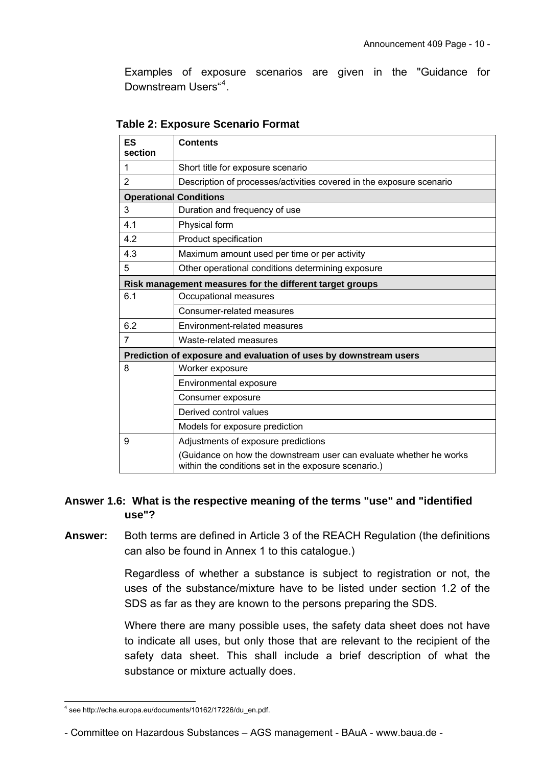Examples of exposure scenarios are given in the "Guidance for Downstream Users"<sup>[4](#page-9-0)</sup>.

| ES<br>section                | <b>Contents</b>                                                                                                            |  |  |  |  |  |
|------------------------------|----------------------------------------------------------------------------------------------------------------------------|--|--|--|--|--|
| 1                            | Short title for exposure scenario                                                                                          |  |  |  |  |  |
| $\overline{2}$               | Description of processes/activities covered in the exposure scenario                                                       |  |  |  |  |  |
|                              | <b>Operational Conditions</b>                                                                                              |  |  |  |  |  |
| 3                            | Duration and frequency of use                                                                                              |  |  |  |  |  |
| 4.1                          | Physical form                                                                                                              |  |  |  |  |  |
| 4.2                          | Product specification                                                                                                      |  |  |  |  |  |
| 4.3                          | Maximum amount used per time or per activity                                                                               |  |  |  |  |  |
| 5                            | Other operational conditions determining exposure                                                                          |  |  |  |  |  |
|                              | Risk management measures for the different target groups                                                                   |  |  |  |  |  |
| 6.1<br>Occupational measures |                                                                                                                            |  |  |  |  |  |
|                              | Consumer-related measures                                                                                                  |  |  |  |  |  |
| 6.2                          | Environment-related measures                                                                                               |  |  |  |  |  |
| 7                            | Waste-related measures                                                                                                     |  |  |  |  |  |
|                              | Prediction of exposure and evaluation of uses by downstream users                                                          |  |  |  |  |  |
| 8                            | Worker exposure                                                                                                            |  |  |  |  |  |
|                              | Environmental exposure                                                                                                     |  |  |  |  |  |
|                              | Consumer exposure                                                                                                          |  |  |  |  |  |
|                              | Derived control values                                                                                                     |  |  |  |  |  |
|                              | Models for exposure prediction                                                                                             |  |  |  |  |  |
| 9                            | Adjustments of exposure predictions                                                                                        |  |  |  |  |  |
|                              | (Guidance on how the downstream user can evaluate whether he works<br>within the conditions set in the exposure scenario.) |  |  |  |  |  |

#### **Table 2: Exposure Scenario Format**

#### **Answer 1.6: What is the respective meaning of the terms "use" and "identified use"?**

**Answer:** Both terms are defined in Article 3 of the REACH Regulation (the definitions can also be found in Annex 1 to this catalogue.)

> Regardless of whether a substance is subject to registration or not, the uses of the substance/mixture have to be listed under section 1.2 of the SDS as far as they are known to the persons preparing the SDS.

> Where there are many possible uses, the safety data sheet does not have to indicate all uses, but only those that are relevant to the recipient of the safety data sheet. This shall include a brief description of what the substance or mixture actually does.

<span id="page-9-0"></span> 4 see [http://echa.europa.eu/documents/10162/17226/du\\_en.pdf.](http://echa.europa.eu/documents/10162/17226/du_en.pdf)

<sup>-</sup> Committee on Hazardous Substances – AGS management - BAuA - www.baua.de -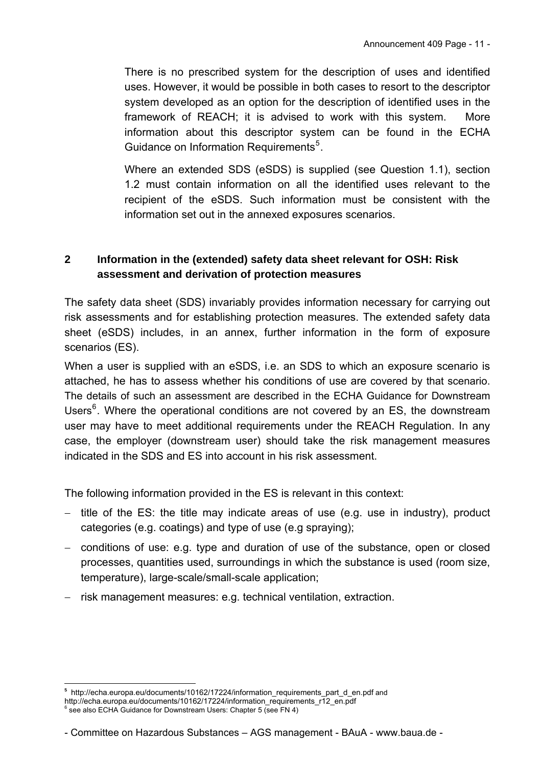There is no prescribed system for the description of uses and identified uses. However, it would be possible in both cases to resort to the descriptor system developed as an option for the description of identified uses in the framework of REACH; it is advised to work with this system. More information about this descriptor system can be found in the ECHA Guidance on Information Requirements<sup>[5](#page-10-0)</sup>.

Where an extended SDS (eSDS) is supplied (see Question 1.1), section 1.2 must contain information on all the identified uses relevant to the recipient of the eSDS. Such information must be consistent with the information set out in the annexed exposures scenarios.

# **2 Information in the (extended) safety data sheet relevant for OSH: Risk assessment and derivation of protection measures**

The safety data sheet (SDS) invariably provides information necessary for carrying out risk assessments and for establishing protection measures. The extended safety data sheet (eSDS) includes, in an annex, further information in the form of exposure scenarios (ES).

When a user is supplied with an eSDS, i.e. an SDS to which an exposure scenario is attached, he has to assess whether his conditions of use are covered by that scenario. The details of such an assessment are described in the ECHA Guidance for Downstream Users<sup>[6](#page-10-1)</sup>. Where the operational conditions are not covered by an ES, the downstream user may have to meet additional requirements under the REACH Regulation. In any case, the employer (downstream user) should take the risk management measures indicated in the SDS and ES into account in his risk assessment.

The following information provided in the ES is relevant in this context:

- $-$  title of the ES; the title may indicate areas of use (e.g. use in industry), product categories (e.g. coatings) and type of use (e.g spraying);
- conditions of use: e.g. type and duration of use of the substance, open or closed processes, quantities used, surroundings in which the substance is used (room size, temperature), large-scale/small-scale application;
- $-$  risk management measures: e.g. technical ventilation, extraction.

-

<span id="page-10-0"></span>**<sup>5</sup>** [http://echa.europa.eu/documents/10162/17224/information\\_requirements\\_part\\_d\\_en.pdf](http://echa.europa.eu/documents/10162/17224/information_requirements_part_d_en.pdf) and

<span id="page-10-1"></span>[http://echa.europa.eu/documents/10162/17224/information\\_requirements\\_r12\\_en.pdf](http://echa.europa.eu/documents/10162/17224/information_requirements_r12_en.pdf)<br>6 see also ECUA Cuidance for Daunatream Usera: Chapter 5 (see EN 4) see also ECHA Guidance for Downstream Users: Chapter 5 (see FN 4)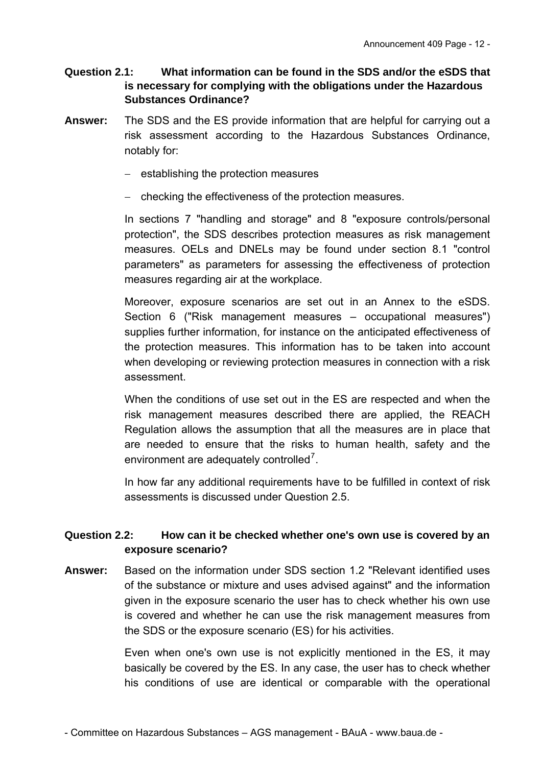## **Question 2.1: What information can be found in the SDS and/or the eSDS that is necessary for complying with the obligations under the Hazardous Substances Ordinance?**

- **Answer:** The SDS and the ES provide information that are helpful for carrying out a risk assessment according to the Hazardous Substances Ordinance, notably for:
	- $-$  establishing the protection measures
	- checking the effectiveness of the protection measures.

In sections 7 "handling and storage" and 8 "exposure controls/personal protection", the SDS describes protection measures as risk management measures. OELs and DNELs may be found under section 8.1 "control parameters" as parameters for assessing the effectiveness of protection measures regarding air at the workplace.

Moreover, exposure scenarios are set out in an Annex to the eSDS. Section 6 ("Risk management measures – occupational measures") supplies further information, for instance on the anticipated effectiveness of the protection measures. This information has to be taken into account when developing or reviewing protection measures in connection with a risk assessment.

When the conditions of use set out in the ES are respected and when the risk management measures described there are applied, the REACH Regulation allows the assumption that all the measures are in place that are needed to ensure that the risks to human health, safety and the environment are adequately controlled<sup>[7](#page-11-0)</sup>.

In how far any additional requirements have to be fulfilled in context of risk assessments is discussed under Question 2.5.

## **Question 2.2: How can it be checked whether one's own use is covered by an exposure scenario?**

**Answer:** Based on the information under SDS section 1.2 "Relevant identified uses of the substance or mixture and uses advised against" and the information given in the exposure scenario the user has to check whether his own use is covered and whether he can use the risk management measures from the SDS or the exposure scenario (ES) for his activities.

> <span id="page-11-0"></span>Even when one's own use is not explicitly mentioned in the ES, it may basically be covered by the ES. In any case, the user has to check whether his conditions of use are identical or comparable with the operational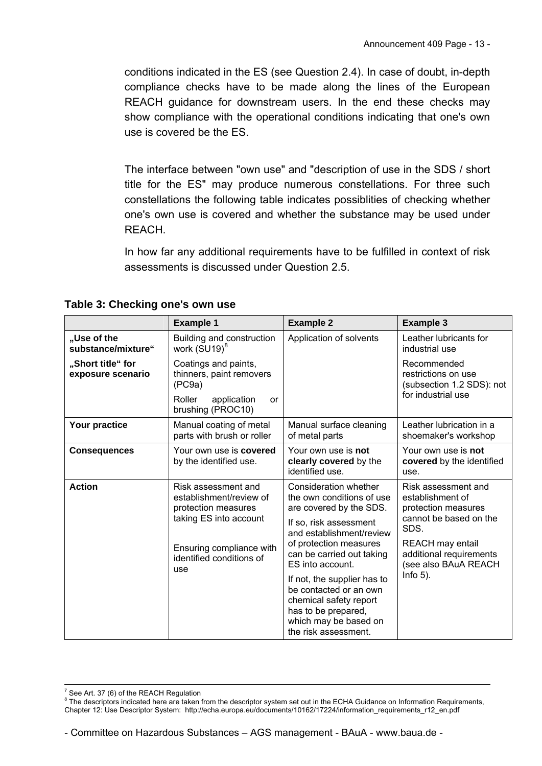conditions indicated in the ES (see Question 2.4). In case of doubt, in-depth compliance checks have to be made along the lines of the European REACH guidance for downstream users. In the end these checks may show compliance with the operational conditions indicating that one's own use is covered be the ES.

The interface between "own use" and "description of use in the SDS / short title for the ES" may produce numerous constellations. For three such constellations the following table indicates possiblities of checking whether one's own use is covered and whether the substance may be used under REACH.

In how far any additional requirements have to be fulfilled in context of risk assessments is discussed under Question 2.5.

|                                        | <b>Example 1</b>                                                                                                                                               | <b>Example 2</b>                                                                                                                                                                                               | <b>Example 3</b>                                                                                                                                                                       |  |  |
|----------------------------------------|----------------------------------------------------------------------------------------------------------------------------------------------------------------|----------------------------------------------------------------------------------------------------------------------------------------------------------------------------------------------------------------|----------------------------------------------------------------------------------------------------------------------------------------------------------------------------------------|--|--|
| "Use of the<br>substance/mixture"      | Building and construction<br>work (SU19) <sup>8</sup>                                                                                                          | Application of solvents                                                                                                                                                                                        | Leather lubricants for<br>industrial use                                                                                                                                               |  |  |
| "Short title" for<br>exposure scenario | Coatings and paints,<br>thinners, paint removers<br>(PC9a)                                                                                                     |                                                                                                                                                                                                                | Recommended<br>restrictions on use<br>(subsection 1.2 SDS): not                                                                                                                        |  |  |
|                                        | Roller<br>application<br><b>or</b><br>brushing (PROC10)                                                                                                        |                                                                                                                                                                                                                | for industrial use                                                                                                                                                                     |  |  |
| Your practice                          | Manual coating of metal<br>parts with brush or roller                                                                                                          | Manual surface cleaning<br>of metal parts                                                                                                                                                                      | Leather lubrication in a<br>shoemaker's workshop                                                                                                                                       |  |  |
| <b>Consequences</b>                    | Your own use is <b>covered</b><br>by the identified use.                                                                                                       | Your own use is not<br>clearly covered by the<br>identified use.                                                                                                                                               | Your own use is not<br>covered by the identified<br>use.                                                                                                                               |  |  |
| <b>Action</b>                          | Risk assessment and<br>establishment/review of<br>protection measures<br>taking ES into account<br>Ensuring compliance with<br>identified conditions of<br>use | Consideration whether<br>the own conditions of use<br>are covered by the SDS.<br>If so, risk assessment<br>and establishment/review<br>of protection measures<br>can be carried out taking<br>ES into account. | Risk assessment and<br>establishment of<br>protection measures<br>cannot be based on the<br>SDS.<br>REACH may entail<br>additional requirements<br>(see also BAuA REACH<br>$Info 5)$ . |  |  |
|                                        |                                                                                                                                                                | If not, the supplier has to<br>be contacted or an own<br>chemical safety report<br>has to be prepared,<br>which may be based on<br>the risk assessment.                                                        |                                                                                                                                                                                        |  |  |

**Table 3: Checking one's own use** 

 7 See Art. 37 (6) of the REACH Regulation

<span id="page-12-0"></span><sup>&</sup>lt;sup>8</sup> The descriptors indicated here are taken from the descriptor system set out in the ECHA Guidance on Information Requirements, Chapter 12: Use Descriptor System: [http://echa.europa.eu/documents/10162/17224/information\\_requirements\\_r12\\_en.pdf](http://echa.europa.eu/documents/10162/17224/information_requirements_r12_en.pdf)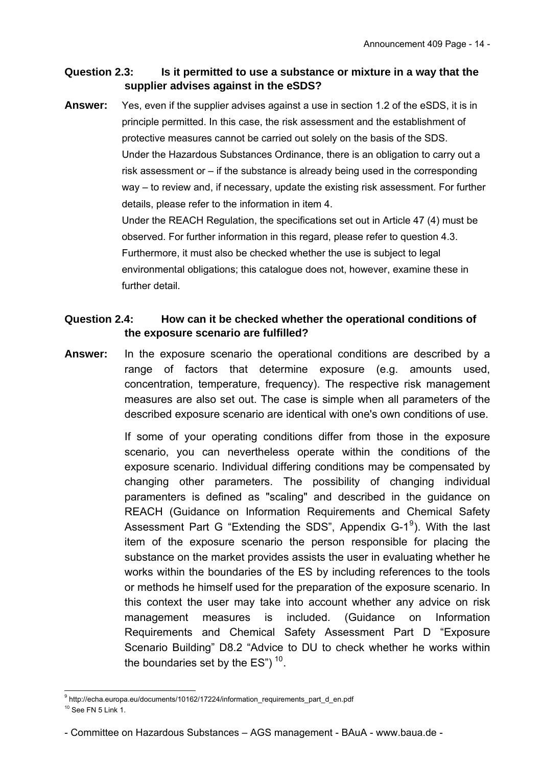### **Question 2.3: Is it permitted to use a substance or mixture in a way that the supplier advises against in the eSDS?**

**Answer:** Yes, even if the supplier advises against a use in section 1.2 of the eSDS, it is in principle permitted. In this case, the risk assessment and the establishment of protective measures cannot be carried out solely on the basis of the SDS. Under the Hazardous Substances Ordinance, there is an obligation to carry out a risk assessment or – if the substance is already being used in the corresponding way – to review and, if necessary, update the existing risk assessment. For further details, please refer to the information in item 4. Under the REACH Regulation, the specifications set out in Article 47 (4) must be observed. For further information in this regard, please refer to question 4.3. Furthermore, it must also be checked whether the use is subject to legal environmental obligations; this catalogue does not, however, examine these in further detail

# **Question 2.4: How can it be checked whether the operational conditions of the exposure scenario are fulfilled?**

**Answer:** In the exposure scenario the operational conditions are described by a range of factors that determine exposure (e.g. amounts used, concentration, temperature, frequency). The respective risk management measures are also set out. The case is simple when all parameters of the described exposure scenario are identical with one's own conditions of use.

> If some of your operating conditions differ from those in the exposure scenario, you can nevertheless operate within the conditions of the exposure scenario. Individual differing conditions may be compensated by changing other parameters. The possibility of changing individual paramenters is defined as "scaling" and described in the guidance on REACH (Guidance on Information Requirements and Chemical Safety Assessment Part G "Extending the SDS", Appendix  $G-1^9$  $G-1^9$ ). With the last item of the exposure scenario the person responsible for placing the substance on the market provides assists the user in evaluating whether he works within the boundaries of the ES by including references to the tools or methods he himself used for the preparation of the exposure scenario. In this context the user may take into account whether any advice on risk management measures is included. (Guidance on Information Requirements and Chemical Safety Assessment Part D "Exposure Scenario Building" D8.2 "Advice to DU to check whether he works within the boundaries set by the  $ES''$ )<sup>[10](#page-13-1)</sup>.

<span id="page-13-2"></span><span id="page-13-1"></span><span id="page-13-0"></span> 9 http://echa.europa.eu/documents/10162/17224/information\_requirements\_part\_d\_en.pdf  $10$  See FN 5 Link 1.

<sup>-</sup> Committee on Hazardous Substances – AGS management - BAuA - www.baua.de -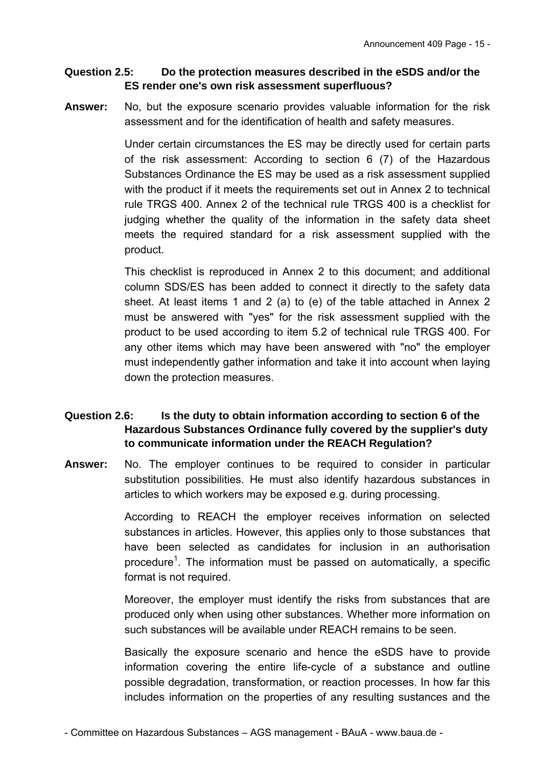#### **Question 2.5: Do the protection measures described in the eSDS and/or the ES render one's own risk assessment superfluous?**

**Answer:** No, but the exposure scenario provides valuable information for the risk assessment and for the identification of health and safety measures.

> Under certain circumstances the ES may be directly used for certain parts of the risk assessment: According to section 6 (7) of the Hazardous Substances Ordinance the ES may be used as a risk assessment supplied with the product if it meets the requirements set out in Annex 2 to technical rule TRGS 400. Annex 2 of the technical rule TRGS 400 is a checklist for judging whether the quality of the information in the safety data sheet meets the required standard for a risk assessment supplied with the product.

> This checklist is reproduced in Annex 2 to this document; and additional column SDS/ES has been added to connect it directly to the safety data sheet. At least items 1 and 2 (a) to (e) of the table attached in Annex 2 must be answered with "yes" for the risk assessment supplied with the product to be used according to item 5.2 of technical rule TRGS 400. For any other items which may have been answered with "no" the employer must independently gather information and take it into account when laying down the protection measures.

# **Question 2.6: Is the duty to obtain information according to section 6 of the Hazardous Substances Ordinance fully covered by the supplier's duty to communicate information under the REACH Regulation?**

**Answer:** No. The employer continues to be required to consider in particular substitution possibilities. He must also identify hazardous substances in articles to which workers may be exposed e.g. during processing.

> According to REACH the employer receives information on selected substances in articles. However, this applies only to those substances that have been selected as candidates for inclusion in an authorisation procedure<sup>[1](#page-5-1)</sup>. The information must be passed on automatically, a specific format is not required.

> Moreover, the employer must identify the risks from substances that are produced only when using other substances. Whether more information on such substances will be available under REACH remains to be seen.

> Basically the exposure scenario and hence the eSDS have to provide information covering the entire life-cycle of a substance and outline possible degradation, transformation, or reaction processes. In how far this includes information on the properties of any resulting sustances and the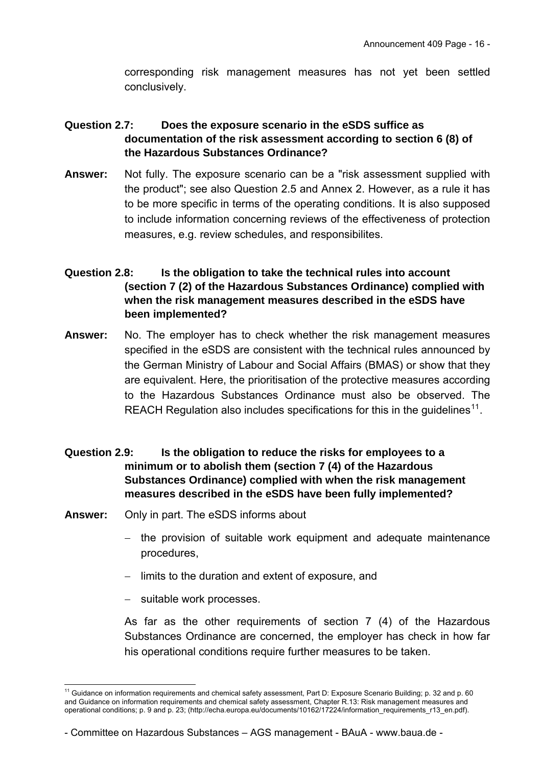corresponding risk management measures has not yet been settled conclusively.

# **Question 2.7: Does the exposure scenario in the eSDS suffice as documentation of the risk assessment according to section 6 (8) of the Hazardous Substances Ordinance?**

**Answer:** Not fully. The exposure scenario can be a "risk assessment supplied with the product"; see also Question 2.5 and Annex 2. However, as a rule it has to be more specific in terms of the operating conditions. It is also supposed to include information concerning reviews of the effectiveness of protection measures, e.g. review schedules, and responsibilites.

# **Question 2.8: Is the obligation to take the technical rules into account (section 7 (2) of the Hazardous Substances Ordinance) complied with when the risk management measures described in the eSDS have been implemented?**

**Answer:** No. The employer has to check whether the risk management measures specified in the eSDS are consistent with the technical rules announced by the German Ministry of Labour and Social Affairs (BMAS) or show that they are equivalent. Here, the prioritisation of the protective measures according to the Hazardous Substances Ordinance must also be observed. The REACH Regulation also includes specifications for this in the guidelines<sup>[11](#page-15-0)</sup>.

# **Question 2.9: Is the obligation to reduce the risks for employees to a minimum or to abolish them (section 7 (4) of the Hazardous Substances Ordinance) complied with when the risk management measures described in the eSDS have been fully implemented?**

- **Answer:** Only in part. The eSDS informs about
	- the provision of suitable work equipment and adequate maintenance procedures,
	- $-$  limits to the duration and extent of exposure, and
	- suitable work processes.

-

As far as the other requirements of section 7 (4) of the Hazardous Substances Ordinance are concerned, the employer has check in how far his operational conditions require further measures to be taken.

<span id="page-15-0"></span><sup>&</sup>lt;sup>11</sup> Guidance on information requirements and chemical safety assessment, Part D: Exposure Scenario Building; p. 32 and p. 60 and Guidance on information requirements and chemical safety assessment, Chapter R.13: Risk management measures and operational conditions; p. 9 and p. 23; [\(http://echa.europa.eu/documents/10162/17224/information\\_requirements\\_r13\\_en.pdf\)](http://echa.europa.eu/documents/10162/17224/information_requirements_r13_en.pdf).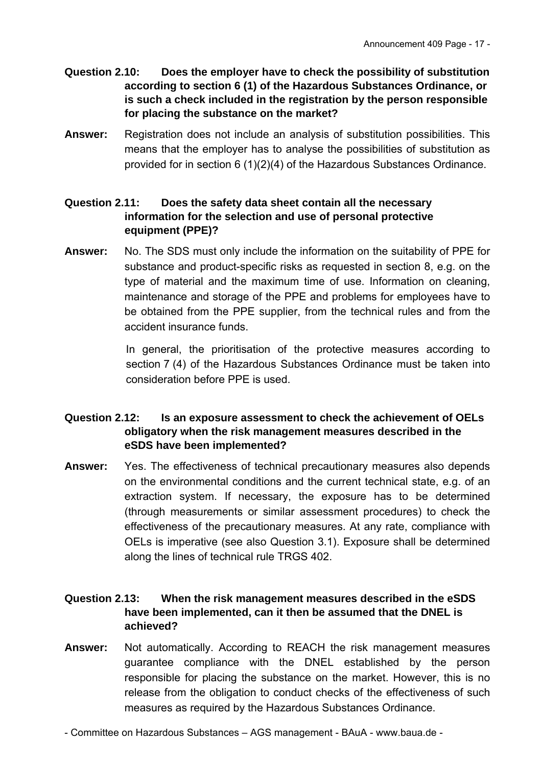- **Question 2.10: Does the employer have to check the possibility of substitution according to section 6 (1) of the Hazardous Substances Ordinance, or is such a check included in the registration by the person responsible for placing the substance on the market?**
- **Answer:** Registration does not include an analysis of substitution possibilities. This means that the employer has to analyse the possibilities of substitution as provided for in section 6 (1)(2)(4) of the Hazardous Substances Ordinance.

## **Question 2.11: Does the safety data sheet contain all the necessary information for the selection and use of personal protective equipment (PPE)?**

**Answer:** No. The SDS must only include the information on the suitability of PPE for substance and product-specific risks as requested in section 8, e.g. on the type of material and the maximum time of use. Information on cleaning, maintenance and storage of the PPE and problems for employees have to be obtained from the PPE supplier, from the technical rules and from the accident insurance funds.

> In general, the prioritisation of the protective measures according to section 7 (4) of the Hazardous Substances Ordinance must be taken into consideration before PPE is used.

# **Question 2.12: Is an exposure assessment to check the achievement of OELs obligatory when the risk management measures described in the eSDS have been implemented?**

**Answer:** Yes. The effectiveness of technical precautionary measures also depends on the environmental conditions and the current technical state, e.g. of an extraction system. If necessary, the exposure has to be determined (through measurements or similar assessment procedures) to check the effectiveness of the precautionary measures. At any rate, compliance with OELs is imperative (see also Question 3.1). Exposure shall be determined along the lines of technical rule TRGS 402.

# **Question 2.13: When the risk management measures described in the eSDS have been implemented, can it then be assumed that the DNEL is achieved?**

**Answer:** Not automatically. According to REACH the risk management measures guarantee compliance with the DNEL established by the person responsible for placing the substance on the market. However, this is no release from the obligation to conduct checks of the effectiveness of such measures as required by the Hazardous Substances Ordinance.

- Committee on Hazardous Substances – AGS management - BAuA - www.baua.de -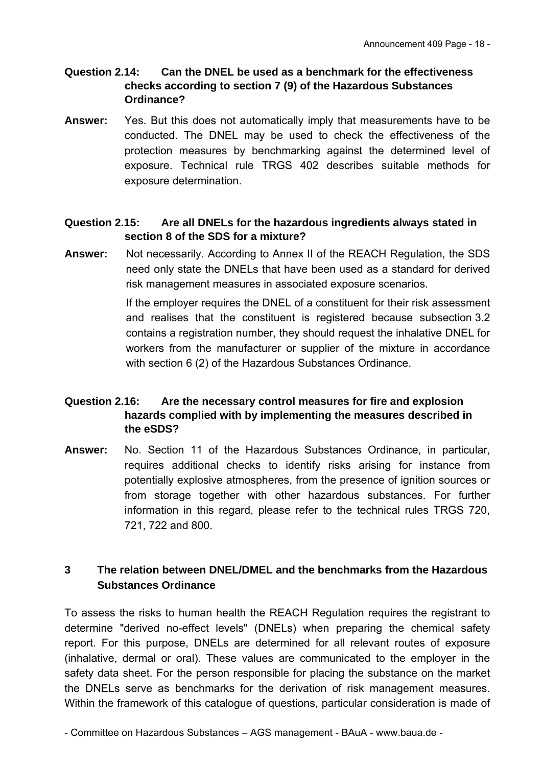#### **Question 2.14: Can the DNEL be used as a benchmark for the effectiveness checks according to section 7 (9) of the Hazardous Substances Ordinance?**

**Answer:** Yes. But this does not automatically imply that measurements have to be conducted. The DNEL may be used to check the effectiveness of the protection measures by benchmarking against the determined level of exposure. Technical rule TRGS 402 describes suitable methods for exposure determination.

# **Question 2.15: Are all DNELs for the hazardous ingredients always stated in section 8 of the SDS for a mixture?**

**Answer:** Not necessarily. According to Annex II of the REACH Regulation, the SDS need only state the DNELs that have been used as a standard for derived risk management measures in associated exposure scenarios.

> If the employer requires the DNEL of a constituent for their risk assessment and realises that the constituent is registered because subsection 3.2 contains a registration number, they should request the inhalative DNEL for workers from the manufacturer or supplier of the mixture in accordance with section 6 (2) of the Hazardous Substances Ordinance.

# **Question 2.16: Are the necessary control measures for fire and explosion hazards complied with by implementing the measures described in the eSDS?**

**Answer:** No. Section 11 of the Hazardous Substances Ordinance, in particular, requires additional checks to identify risks arising for instance from potentially explosive atmospheres, from the presence of ignition sources or from storage together with other hazardous substances. For further information in this regard, please refer to the technical rules TRGS 720, 721, 722 and 800.

# **3 The relation between DNEL/DMEL and the benchmarks from the Hazardous Substances Ordinance**

To assess the risks to human health the REACH Regulation requires the registrant to determine "derived no-effect levels" (DNELs) when preparing the chemical safety report. For this purpose, DNELs are determined for all relevant routes of exposure (inhalative, dermal or oral). These values are communicated to the employer in the safety data sheet. For the person responsible for placing the substance on the market the DNELs serve as benchmarks for the derivation of risk management measures. Within the framework of this catalogue of questions, particular consideration is made of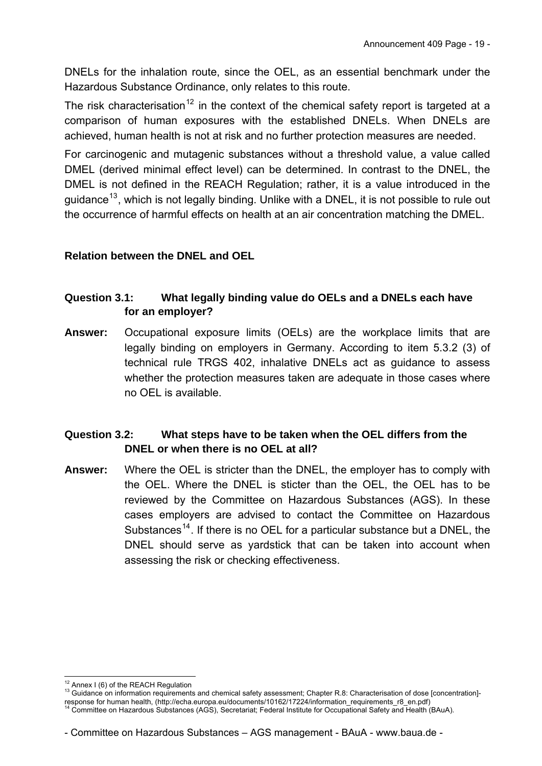DNELs for the inhalation route, since the OEL, as an essential benchmark under the Hazardous Substance Ordinance, only relates to this route.

The risk characterisation<sup>[12](#page-18-0)</sup> in the context of the chemical safety report is targeted at a comparison of human exposures with the established DNELs. When DNELs are achieved, human health is not at risk and no further protection measures are needed.

For carcinogenic and mutagenic substances without a threshold value, a value called DMEL (derived minimal effect level) can be determined. In contrast to the DNEL, the DMEL is not defined in the REACH Regulation; rather, it is a value introduced in the guidance<sup>[13](#page-18-1)</sup>, which is not legally binding. Unlike with a DNEL, it is not possible to rule out the occurrence of harmful effects on health at an air concentration matching the DMEL.

# **Relation between the DNEL and OEL**

# **Question 3.1: What legally binding value do OELs and a DNELs each have for an employer?**

**Answer:** Occupational exposure limits (OELs) are the workplace limits that are legally binding on employers in Germany. According to item 5.3.2 (3) of technical rule TRGS 402, inhalative DNELs act as guidance to assess whether the protection measures taken are adequate in those cases where no OEL is available.

# **Question 3.2: What steps have to be taken when the OEL differs from the DNEL or when there is no OEL at all?**

**Answer:** Where the OEL is stricter than the DNEL, the employer has to comply with the OEL. Where the DNEL is sticter than the OEL, the OEL has to be reviewed by the Committee on Hazardous Substances (AGS). In these cases employers are advised to contact the Committee on Hazardous Substances<sup>[14](#page-18-2)</sup>. If there is no OEL for a particular substance but a DNEL, the DNEL should serve as yardstick that can be taken into account when assessing the risk or checking effectiveness.

<sup>&</sup>lt;sup>12</sup> Annex I (6) of the REACH Regulation

<span id="page-18-1"></span><span id="page-18-0"></span><sup>13</sup> Guidance on information requirements and chemical safety assessment; Chapter R.8: Characterisation of dose [concentration]-response for human health, [\(http://echa.europa.eu/documents/10162/17224/information\\_requirements\\_r8\\_en.pdf](http://echa.europa.eu/documents/10162/17224/information_requirements_r8_en.pdf))<br><sup>14</sup> Committee on Hazardous [Substances \(AGS\), Secretariat; Federal Institute for Occupational Safety and Health](http://echa.europa.eu/documents/10162/17224/information_requirements_r8_en.pdf) (B

<span id="page-18-2"></span>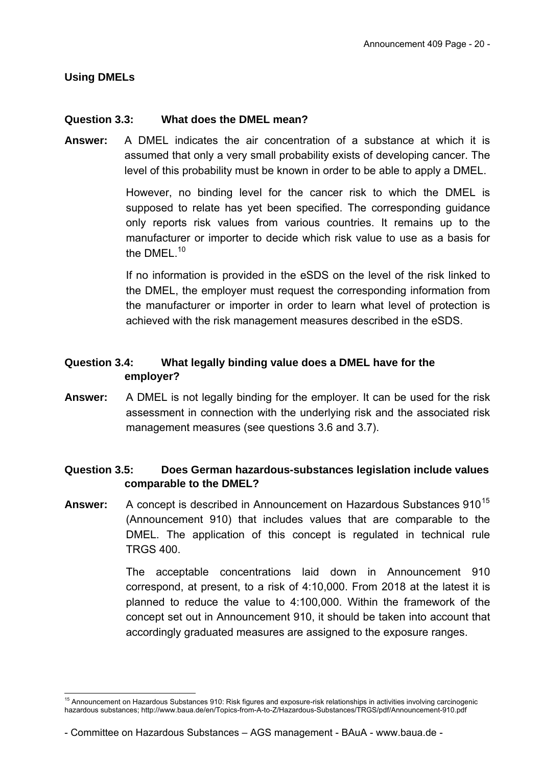#### **Using DMELs**

-

#### **Question 3.3: What does the DMEL mean?**

**Answer:** A DMEL indicates the air concentration of a substance at which it is assumed that only a very small probability exists of developing cancer. The level of this probability must be known in order to be able to apply a DMEL.

> However, no binding level for the cancer risk to which the DMEL is supposed to relate has yet been specified. The corresponding guidance only reports risk values from various countries. It remains up to the manufacturer or importer to decide which risk value to use as a basis for the DMEL.<sup>[10](#page-13-2)</sup>

> If no information is provided in the eSDS on the level of the risk linked to the DMEL, the employer must request the corresponding information from the manufacturer or importer in order to learn what level of protection is achieved with the risk management measures described in the eSDS.

# **Question 3.4: What legally binding value does a DMEL have for the employer?**

**Answer:** A DMEL is not legally binding for the employer. It can be used for the risk assessment in connection with the underlying risk and the associated risk management measures (see questions 3.6 and 3.7).

## **Question 3.5: Does German hazardous-substances legislation include values comparable to the DMEL?**

**Answer:** A concept is described in Announcement on Hazardous Substances 910<sup>[15](#page-19-0)</sup> (Announcement 910) that includes values that are comparable to the DMEL. The application of this concept is regulated in technical rule TRGS 400.

> The acceptable concentrations laid down in Announcement 910 correspond, at present, to a risk of 4:10,000. From 2018 at the latest it is planned to reduce the value to 4:100,000. Within the framework of the concept set out in Announcement 910, it should be taken into account that accordingly graduated measures are assigned to the exposure ranges.

<span id="page-19-0"></span><sup>&</sup>lt;sup>15</sup> Announcement on Hazardous Substances 910: Risk figures and exposure-risk relationships in activities involving carcinogenic hazardous substances; http://www.baua.de/en/Topics-from-A-to-Z/Hazardous-Substances/TRGS/pdf/Announcement-910.pdf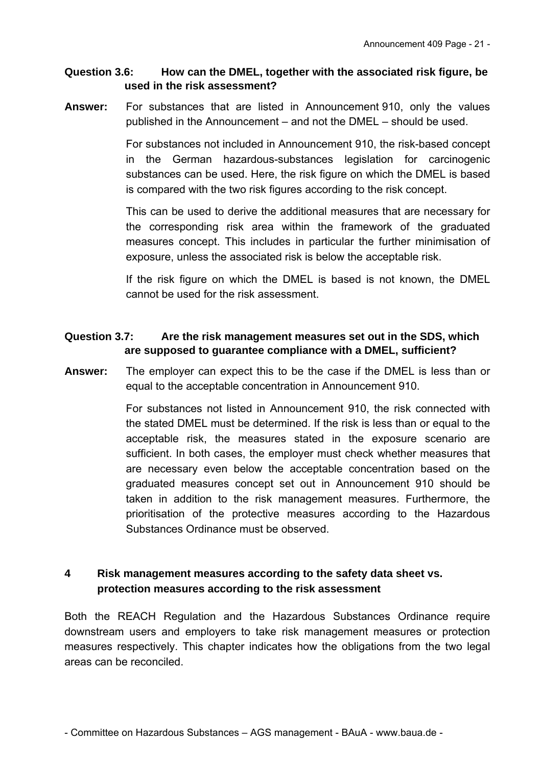#### **Question 3.6: How can the DMEL, together with the associated risk figure, be used in the risk assessment?**

**Answer:** For substances that are listed in Announcement 910, only the values published in the Announcement – and not the DMEL – should be used.

> For substances not included in Announcement 910, the risk-based concept in the German hazardous-substances legislation for carcinogenic substances can be used. Here, the risk figure on which the DMEL is based is compared with the two risk figures according to the risk concept.

> This can be used to derive the additional measures that are necessary for the corresponding risk area within the framework of the graduated measures concept. This includes in particular the further minimisation of exposure, unless the associated risk is below the acceptable risk.

> If the risk figure on which the DMEL is based is not known, the DMEL cannot be used for the risk assessment.

# **Question 3.7: Are the risk management measures set out in the SDS, which are supposed to guarantee compliance with a DMEL, sufficient?**

**Answer:** The employer can expect this to be the case if the DMEL is less than or equal to the acceptable concentration in Announcement 910.

> For substances not listed in Announcement 910, the risk connected with the stated DMEL must be determined. If the risk is less than or equal to the acceptable risk, the measures stated in the exposure scenario are sufficient. In both cases, the employer must check whether measures that are necessary even below the acceptable concentration based on the graduated measures concept set out in Announcement 910 should be taken in addition to the risk management measures. Furthermore, the prioritisation of the protective measures according to the Hazardous Substances Ordinance must be observed.

# **4 Risk management measures according to the safety data sheet vs. protection measures according to the risk assessment**

Both the REACH Regulation and the Hazardous Substances Ordinance require downstream users and employers to take risk management measures or protection measures respectively. This chapter indicates how the obligations from the two legal areas can be reconciled.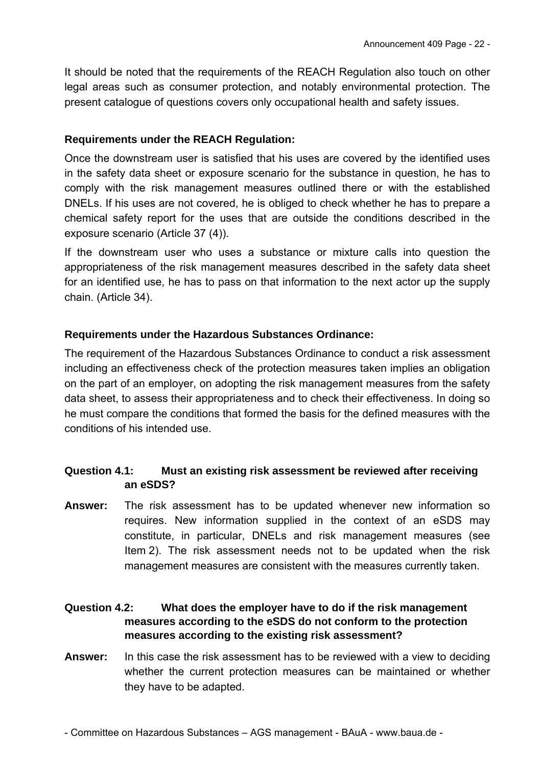It should be noted that the requirements of the REACH Regulation also touch on other legal areas such as consumer protection, and notably environmental protection. The present catalogue of questions covers only occupational health and safety issues.

#### **Requirements under the REACH Regulation:**

Once the downstream user is satisfied that his uses are covered by the identified uses in the safety data sheet or exposure scenario for the substance in question, he has to comply with the risk management measures outlined there or with the established DNELs. If his uses are not covered, he is obliged to check whether he has to prepare a chemical safety report for the uses that are outside the conditions described in the exposure scenario (Article 37 (4)).

If the downstream user who uses a substance or mixture calls into question the appropriateness of the risk management measures described in the safety data sheet for an identified use, he has to pass on that information to the next actor up the supply chain. (Article 34).

#### **Requirements under the Hazardous Substances Ordinance:**

The requirement of the Hazardous Substances Ordinance to conduct a risk assessment including an effectiveness check of the protection measures taken implies an obligation on the part of an employer, on adopting the risk management measures from the safety data sheet, to assess their appropriateness and to check their effectiveness. In doing so he must compare the conditions that formed the basis for the defined measures with the conditions of his intended use.

## **Question 4.1: Must an existing risk assessment be reviewed after receiving an eSDS?**

**Answer:** The risk assessment has to be updated whenever new information so requires. New information supplied in the context of an eSDS may constitute, in particular, DNELs and risk management measures (see Item 2). The risk assessment needs not to be updated when the risk management measures are consistent with the measures currently taken.

# **Question 4.2: What does the employer have to do if the risk management measures according to the eSDS do not conform to the protection measures according to the existing risk assessment?**

**Answer:** In this case the risk assessment has to be reviewed with a view to deciding whether the current protection measures can be maintained or whether they have to be adapted.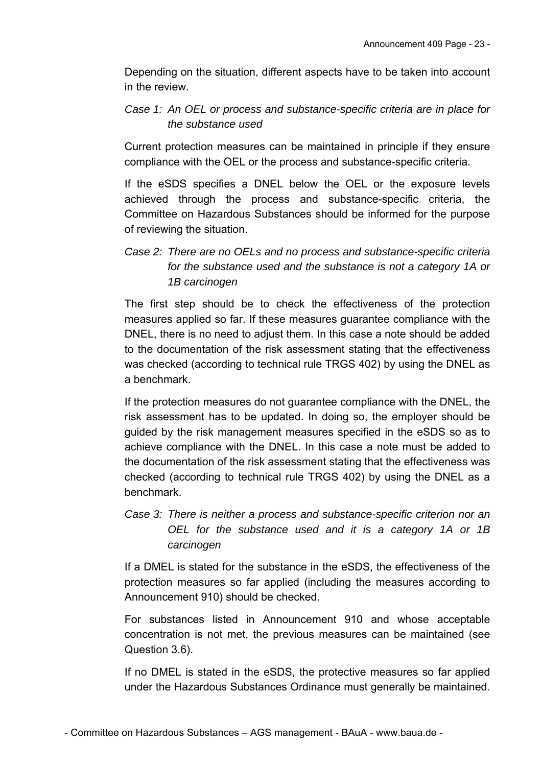Depending on the situation, different aspects have to be taken into account in the review.

# *Case 1: An OEL or process and substance-specific criteria are in place for the substance used*

Current protection measures can be maintained in principle if they ensure compliance with the OEL or the process and substance-specific criteria.

If the eSDS specifies a DNEL below the OEL or the exposure levels achieved through the process and substance-specific criteria, the Committee on Hazardous Substances should be informed for the purpose of reviewing the situation.

# *Case 2: There are no OELs and no process and substance-specific criteria for the substance used and the substance is not a category 1A or 1B carcinogen*

The first step should be to check the effectiveness of the protection measures applied so far. If these measures guarantee compliance with the DNEL, there is no need to adjust them. In this case a note should be added to the documentation of the risk assessment stating that the effectiveness was checked (according to technical rule TRGS 402) by using the DNEL as a benchmark.

If the protection measures do not guarantee compliance with the DNEL, the risk assessment has to be updated. In doing so, the employer should be guided by the risk management measures specified in the eSDS so as to achieve compliance with the DNEL. In this case a note must be added to the documentation of the risk assessment stating that the effectiveness was checked (according to technical rule TRGS 402) by using the DNEL as a benchmark.

# *Case 3: There is neither a process and substance-specific criterion nor an OEL for the substance used and it is a category 1A or 1B carcinogen*

If a DMEL is stated for the substance in the eSDS, the effectiveness of the protection measures so far applied (including the measures according to Announcement 910) should be checked.

For substances listed in Announcement 910 and whose acceptable concentration is not met, the previous measures can be maintained (see Question 3.6).

If no DMEL is stated in the eSDS, the protective measures so far applied under the Hazardous Substances Ordinance must generally be maintained.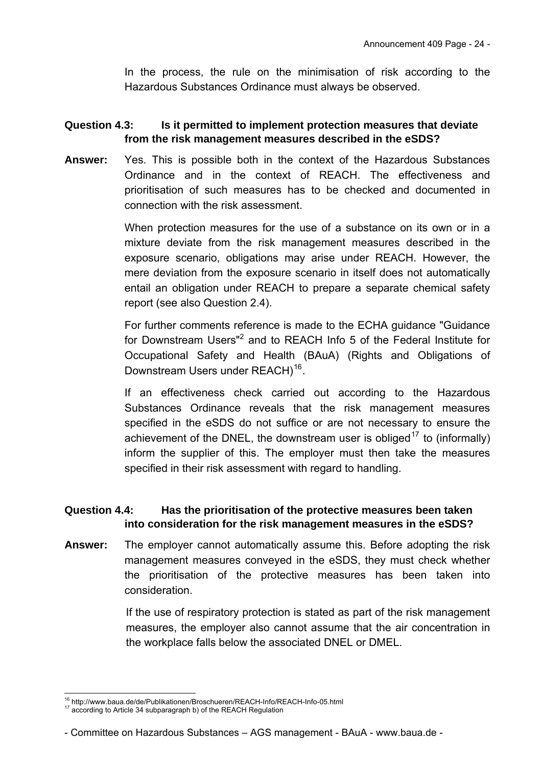In the process, the rule on the minimisation of risk according to the Hazardous Substances Ordinance must always be observed.

# **Question 4.3: Is it permitted to implement protection measures that deviate from the risk management measures described in the eSDS?**

**Answer:** Yes. This is possible both in the context of the Hazardous Substances Ordinance and in the context of REACH. The effectiveness and prioritisation of such measures has to be checked and documented in connection with the risk assessment.

> When protection measures for the use of a substance on its own or in a mixture deviate from the risk management measures described in the exposure scenario, obligations may arise under REACH. However, the mere deviation from the exposure scenario in itself does not automatically entail an obligation under REACH to prepare a separate chemical safety report (see also Question 2.4).

> For further comments reference is made to the ECHA guidance "Guidance for Downstream Users"<sup>[2](#page-5-2)</sup> and to REACH Info 5 of the Federal Institute for Occupational Safety and Health (BAuA) (Rights and Obligations of Downstream Users under REACH)<sup>[16](#page-23-0)</sup>.

> If an effectiveness check carried out according to the Hazardous Substances Ordinance reveals that the risk management measures specified in the eSDS do not suffice or are not necessary to ensure the achievement of the DNEL, the downstream user is obliged<sup>[17](#page-23-1)</sup> to (informally) inform the supplier of this. The employer must then take the measures specified in their risk assessment with regard to handling.

## **Question 4.4: Has the prioritisation of the protective measures been taken into consideration for the risk management measures in the eSDS?**

**Answer:** The employer cannot automatically assume this. Before adopting the risk management measures conveyed in the eSDS, they must check whether the prioritisation of the protective measures has been taken into consideration.

> If the use of respiratory protection is stated as part of the risk management measures, the employer also cannot assume that the air concentration in the workplace falls below the associated DNEL or DMEL.

<sup>-</sup><sup>16</sup> http://www.baua.de/de/Publikationen/Broschueren/REACH-Info/REACH-Info-05.html 17 according to Article 34 subparagraph b) of the REACH Regulation

<span id="page-23-1"></span><span id="page-23-0"></span>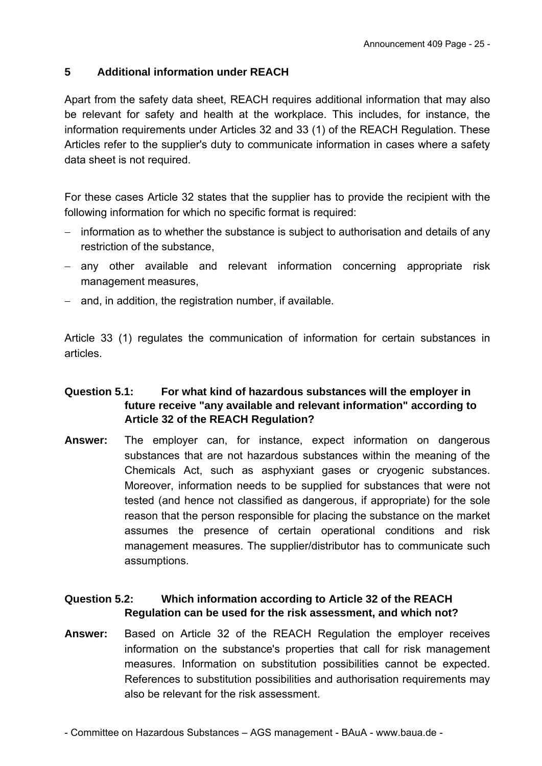# **5 Additional information under REACH**

Apart from the safety data sheet, REACH requires additional information that may also be relevant for safety and health at the workplace. This includes, for instance, the information requirements under Articles 32 and 33 (1) of the REACH Regulation. These Articles refer to the supplier's duty to communicate information in cases where a safety data sheet is not required.

For these cases Article 32 states that the supplier has to provide the recipient with the following information for which no specific format is required:

- $-$  information as to whether the substance is subject to authorisation and details of any restriction of the substance,
- any other available and relevant information concerning appropriate risk management measures,
- $-$  and, in addition, the registration number, if available.

Article 33 (1) regulates the communication of information for certain substances in articles.

# **Question 5.1: For what kind of hazardous substances will the employer in future receive "any available and relevant information" according to Article 32 of the REACH Regulation?**

**Answer:** The employer can, for instance, expect information on dangerous substances that are not hazardous substances within the meaning of the Chemicals Act, such as asphyxiant gases or cryogenic substances. Moreover, information needs to be supplied for substances that were not tested (and hence not classified as dangerous, if appropriate) for the sole reason that the person responsible for placing the substance on the market assumes the presence of certain operational conditions and risk management measures. The supplier/distributor has to communicate such assumptions.

# **Question 5.2: Which information according to Article 32 of the REACH Regulation can be used for the risk assessment, and which not?**

**Answer:** Based on Article 32 of the REACH Regulation the employer receives information on the substance's properties that call for risk management measures. Information on substitution possibilities cannot be expected. References to substitution possibilities and authorisation requirements may also be relevant for the risk assessment.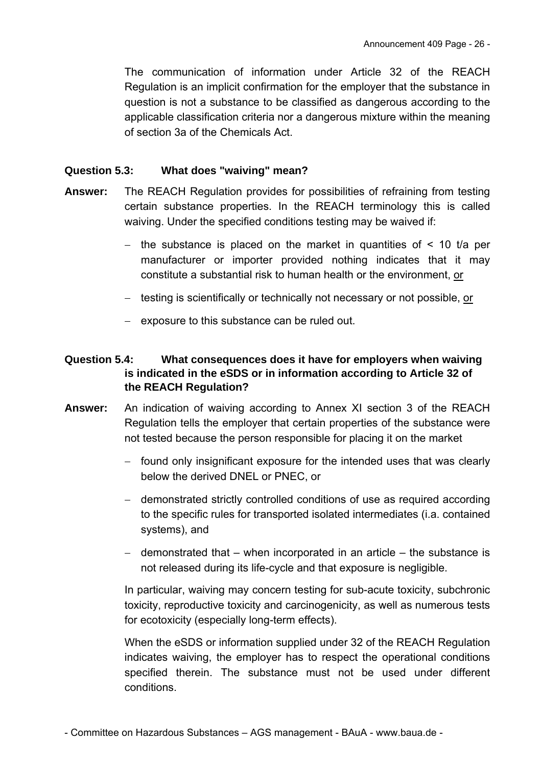The communication of information under Article 32 of the REACH Regulation is an implicit confirmation for the employer that the substance in question is not a substance to be classified as dangerous according to the applicable classification criteria nor a dangerous mixture within the meaning of section 3a of the Chemicals Act.

## **Question 5.3: What does "waiving" mean?**

- **Answer:** The REACH Regulation provides for possibilities of refraining from testing certain substance properties. In the REACH terminology this is called waiving. Under the specified conditions testing may be waived if:
	- the substance is placed on the market in quantities of  $\leq$  10 t/a per manufacturer or importer provided nothing indicates that it may constitute a substantial risk to human health or the environment, or
	- testing is scientifically or technically not necessary or not possible, or
	- exposure to this substance can be ruled out.

# **Question 5.4: What consequences does it have for employers when waiving is indicated in the eSDS or in information according to Article 32 of the REACH Regulation?**

- **Answer:** An indication of waiving according to Annex XI section 3 of the REACH Regulation tells the employer that certain properties of the substance were not tested because the person responsible for placing it on the market
	- found only insignificant exposure for the intended uses that was clearly below the derived DNEL or PNEC, or
	- demonstrated strictly controlled conditions of use as required according to the specific rules for transported isolated intermediates (i.a. contained systems), and
	- $-$  demonstrated that  $-$  when incorporated in an article  $-$  the substance is not released during its life-cycle and that exposure is negligible.

In particular, waiving may concern testing for sub-acute toxicity, subchronic toxicity, reproductive toxicity and carcinogenicity, as well as numerous tests for ecotoxicity (especially long-term effects).

When the eSDS or information supplied under 32 of the REACH Regulation indicates waiving, the employer has to respect the operational conditions specified therein. The substance must not be used under different conditions.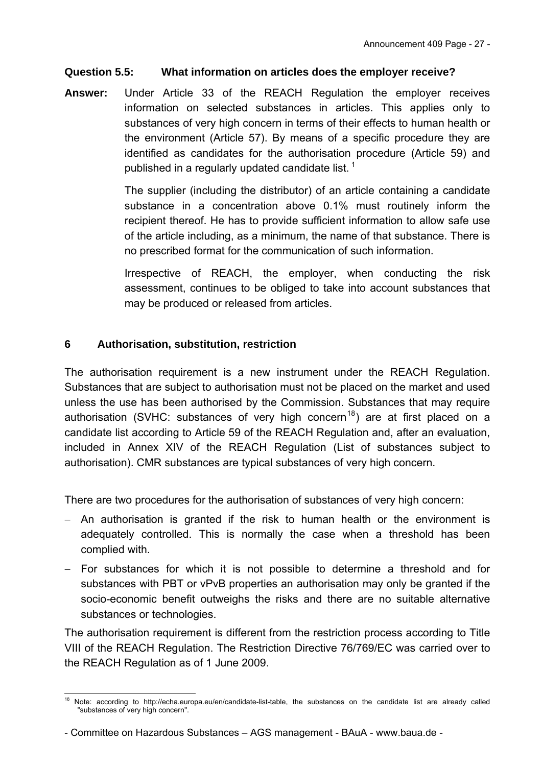# **Question 5.5: What information on articles does the employer receive?**

**Answer:** Under Article 33 of the REACH Regulation the employer receives information on selected substances in articles. This applies only to substances of very high concern in terms of their effects to human health or the environment (Article 57). By means of a specific procedure they are identified as candidates for the authorisation procedure (Article 59) and published in a regularly updated candidate list.  $1$ 

> The supplier (including the distributor) of an article containing a candidate substance in a concentration above 0.1% must routinely inform the recipient thereof. He has to provide sufficient information to allow safe use of the article including, as a minimum, the name of that substance. There is no prescribed format for the communication of such information.

> Irrespective of REACH, the employer, when conducting the risk assessment, continues to be obliged to take into account substances that may be produced or released from articles.

# **6 Authorisation, substitution, restriction**

The authorisation requirement is a new instrument under the REACH Regulation. Substances that are subject to authorisation must not be placed on the market and used unless the use has been authorised by the Commission. Substances that may require authorisation (SVHC: substances of very high concern<sup>[18](#page-26-0)</sup>) are at first placed on a candidate list according to Article 59 of the REACH Regulation and, after an evaluation, included in Annex XIV of the REACH Regulation (List of substances subject to authorisation). CMR substances are typical substances of very high concern.

There are two procedures for the authorisation of substances of very high concern:

- An authorisation is granted if the risk to human health or the environment is adequately controlled. This is normally the case when a threshold has been complied with.
- For substances for which it is not possible to determine a threshold and for substances with PBT or vPvB properties an authorisation may only be granted if the socio-economic benefit outweighs the risks and there are no suitable alternative substances or technologies.

The authorisation requirement is different from the restriction process according to Title VIII of the REACH Regulation. The Restriction Directive 76/769/EC was carried over to the REACH Regulation as of 1 June 2009.

- Committee on Hazardous Substances – AGS management - BAuA - www.baua.de -

<span id="page-26-0"></span> $18$ 18 Note: according to <http://echa.europa.eu/en/candidate-list-table>, the substances on the candidate list are already called "substances of very high concern".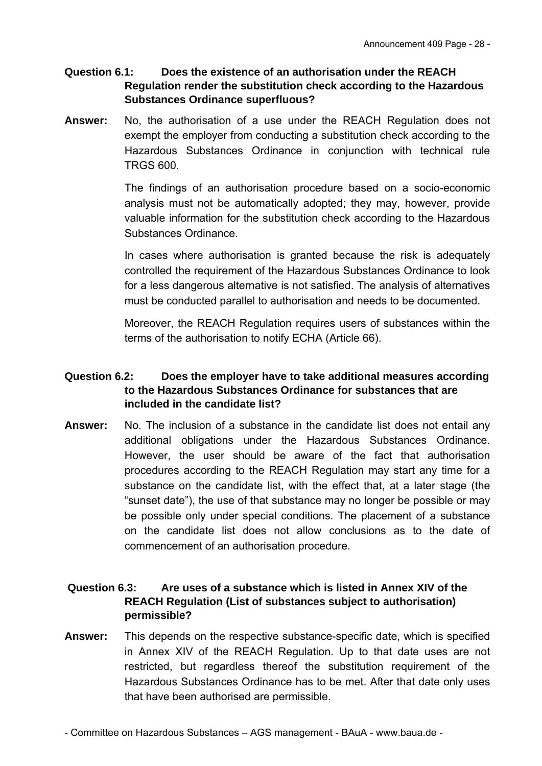#### **Question 6.1: Does the existence of an authorisation under the REACH Regulation render the substitution check according to the Hazardous Substances Ordinance superfluous?**

**Answer:** No, the authorisation of a use under the REACH Regulation does not exempt the employer from conducting a substitution check according to the Hazardous Substances Ordinance in conjunction with technical rule TRGS 600.

> The findings of an authorisation procedure based on a socio-economic analysis must not be automatically adopted; they may, however, provide valuable information for the substitution check according to the Hazardous Substances Ordinance.

> In cases where authorisation is granted because the risk is adequately controlled the requirement of the Hazardous Substances Ordinance to look for a less dangerous alternative is not satisfied. The analysis of alternatives must be conducted parallel to authorisation and needs to be documented.

> Moreover, the REACH Regulation requires users of substances within the terms of the authorisation to notify ECHA (Article 66).

## **Question 6.2: Does the employer have to take additional measures according to the Hazardous Substances Ordinance for substances that are included in the candidate list?**

**Answer:** No. The inclusion of a substance in the candidate list does not entail any additional obligations under the Hazardous Substances Ordinance. However, the user should be aware of the fact that authorisation procedures according to the REACH Regulation may start any time for a substance on the candidate list, with the effect that, at a later stage (the "sunset date"), the use of that substance may no longer be possible or may be possible only under special conditions. The placement of a substance on the candidate list does not allow conclusions as to the date of commencement of an authorisation procedure.

## **Question 6.3: Are uses of a substance which is listed in Annex XIV of the REACH Regulation (List of substances subject to authorisation) permissible?**

**Answer:** This depends on the respective substance-specific date, which is specified in Annex XIV of the REACH Regulation. Up to that date uses are not restricted, but regardless thereof the substitution requirement of the Hazardous Substances Ordinance has to be met. After that date only uses that have been authorised are permissible.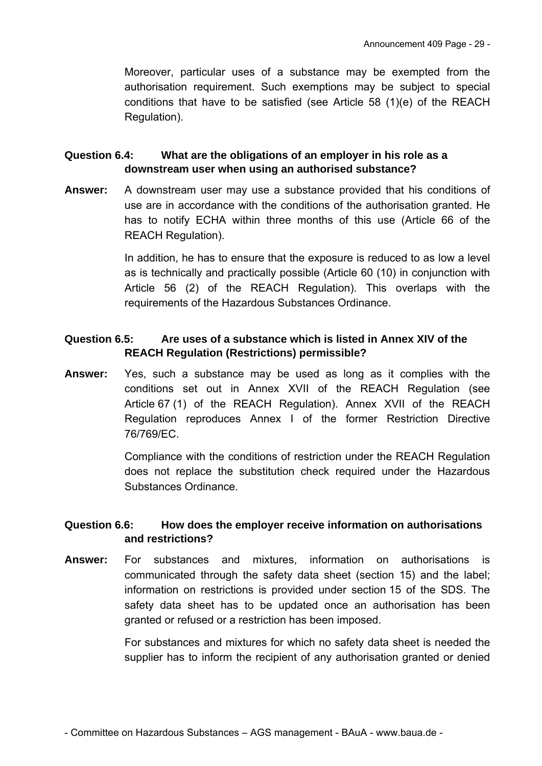Moreover, particular uses of a substance may be exempted from the authorisation requirement. Such exemptions may be subject to special conditions that have to be satisfied (see Article 58 (1)(e) of the REACH Regulation).

# **Question 6.4: What are the obligations of an employer in his role as a downstream user when using an authorised substance?**

**Answer:** A downstream user may use a substance provided that his conditions of use are in accordance with the conditions of the authorisation granted. He has to notify ECHA within three months of this use (Article 66 of the REACH Regulation).

> In addition, he has to ensure that the exposure is reduced to as low a level as is technically and practically possible (Article 60 (10) in conjunction with Article 56 (2) of the REACH Regulation). This overlaps with the requirements of the Hazardous Substances Ordinance.

# **Question 6.5: Are uses of a substance which is listed in Annex XIV of the REACH Regulation (Restrictions) permissible?**

**Answer:** Yes, such a substance may be used as long as it complies with the conditions set out in Annex XVII of the REACH Regulation (see Article 67 (1) of the REACH Regulation). Annex XVII of the REACH Regulation reproduces Annex I of the former Restriction Directive 76/769/EC.

> Compliance with the conditions of restriction under the REACH Regulation does not replace the substitution check required under the Hazardous Substances Ordinance.

## **Question 6.6: How does the employer receive information on authorisations and restrictions?**

**Answer:** For substances and mixtures, information on authorisations is communicated through the safety data sheet (section 15) and the label; information on restrictions is provided under section 15 of the SDS. The safety data sheet has to be updated once an authorisation has been granted or refused or a restriction has been imposed.

> For substances and mixtures for which no safety data sheet is needed the supplier has to inform the recipient of any authorisation granted or denied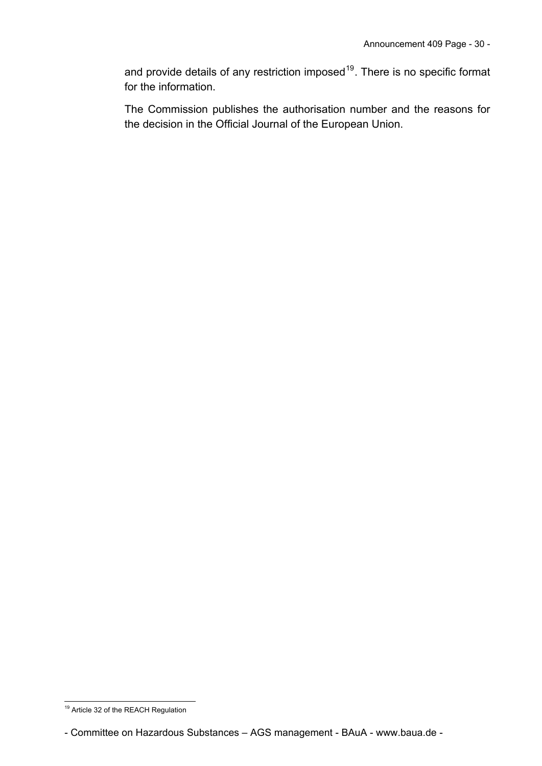and provide details of any restriction imposed<sup>[19](#page-29-0)</sup>. There is no specific format for the information.

The Commission publishes the authorisation number and the reasons for the decision in the Official Journal of the European Union.

<sup>-</sup><sup>19</sup> Article 32 of the REACH Regulation

<span id="page-29-0"></span><sup>-</sup> Committee on Hazardous Substances – AGS management - BAuA - www.baua.de -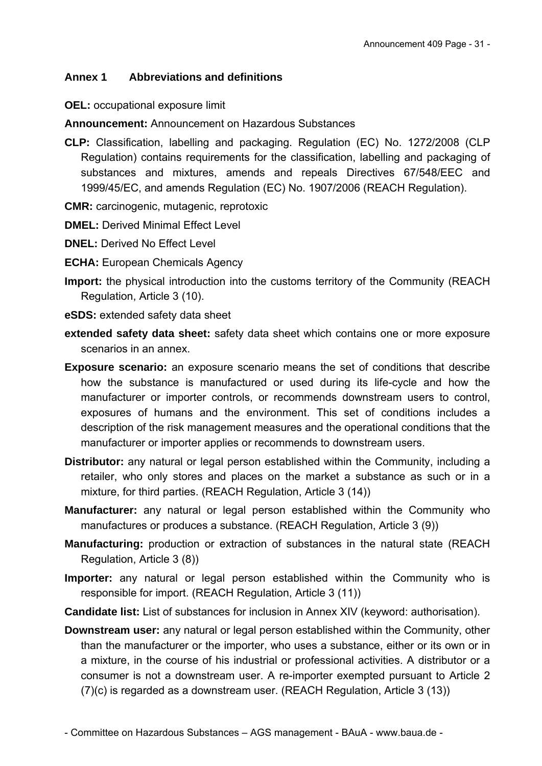# **Annex 1 Abbreviations and definitions**

**OEL:** occupational exposure limit

**Announcement:** Announcement on Hazardous Substances

- **CLP:** Classification, labelling and packaging. Regulation (EC) No. 1272/2008 (CLP Regulation) contains requirements for the classification, labelling and packaging of substances and mixtures, amends and repeals Directives 67/548/EEC and 1999/45/EC, and amends Regulation (EC) No. 1907/2006 (REACH Regulation).
- **CMR:** carcinogenic, mutagenic, reprotoxic
- **DMEL:** Derived Minimal Effect Level
- **DNEL:** Derived No Effect Level
- **ECHA:** European Chemicals Agency
- **Import:** the physical introduction into the customs territory of the Community (REACH Regulation, Article 3 (10).
- **eSDS:** extended safety data sheet
- **extended safety data sheet:** safety data sheet which contains one or more exposure scenarios in an annex.
- **Exposure scenario:** an exposure scenario means the set of conditions that describe how the substance is manufactured or used during its life-cycle and how the manufacturer or importer controls, or recommends downstream users to control, exposures of humans and the environment. This set of conditions includes a description of the risk management measures and the operational conditions that the manufacturer or importer applies or recommends to downstream users.
- **Distributor:** any natural or legal person established within the Community, including a retailer, who only stores and places on the market a substance as such or in a mixture, for third parties. (REACH Regulation, Article 3 (14))
- **Manufacturer:** any natural or legal person established within the Community who manufactures or produces a substance. (REACH Regulation, Article 3 (9))
- **Manufacturing:** production or extraction of substances in the natural state (REACH Regulation, Article 3 (8))
- **Importer:** any natural or legal person established within the Community who is responsible for import. (REACH Regulation, Article 3 (11))
- **Candidate list:** List of substances for inclusion in Annex XIV (keyword: authorisation).
- **Downstream user:** any natural or legal person established within the Community, other than the manufacturer or the importer, who uses a substance, either or its own or in a mixture, in the course of his industrial or professional activities. A distributor or a consumer is not a downstream user. A re-importer exempted pursuant to Article 2 (7)(c) is regarded as a downstream user. (REACH Regulation, Article 3 (13))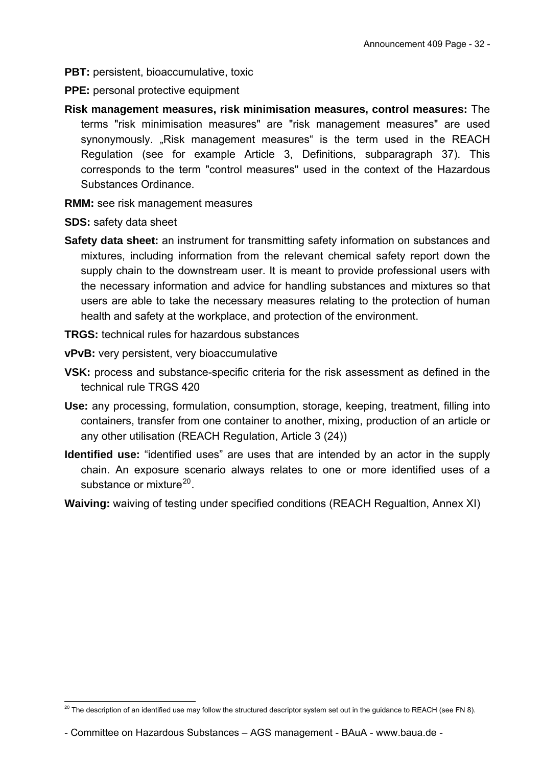- **PBT:** persistent, bioaccumulative, toxic
- **PPE:** personal protective equipment
- **Risk management measures, risk minimisation measures, control measures:** The terms "risk minimisation measures" are "risk management measures" are used synonymously. "Risk management measures" is the term used in the REACH Regulation (see for example Article 3, Definitions, subparagraph 37). This corresponds to the term "control measures" used in the context of the Hazardous Substances Ordinance.
- **RMM:** see risk management measures
- **SDS:** safety data sheet
- **Safety data sheet:** an instrument for transmitting safety information on substances and mixtures, including information from the relevant chemical safety report down the supply chain to the downstream user. It is meant to provide professional users with the necessary information and advice for handling substances and mixtures so that users are able to take the necessary measures relating to the protection of human health and safety at the workplace, and protection of the environment.
- **TRGS:** technical rules for hazardous substances
- **vPvB:** very persistent, very bioaccumulative
- **VSK:** process and substance-specific criteria for the risk assessment as defined in the technical rule TRGS 420
- **Use:** any processing, formulation, consumption, storage, keeping, treatment, filling into containers, transfer from one container to another, mixing, production of an article or any other utilisation (REACH Regulation, Article 3 (24))
- **Identified use:** "identified uses" are uses that are intended by an actor in the supply chain. An exposure scenario always relates to one or more identified uses of a substance or mixture<sup>[20](#page-31-0)</sup>.
- **Waiving:** waiving of testing under specified conditions (REACH Regualtion, Annex XI)

<span id="page-31-0"></span><sup>-</sup> $^{20}$  The description of an identified use may follow the structured descriptor system set out in the guidance to REACH (see FN 8).

<sup>-</sup> Committee on Hazardous Substances – AGS management - BAuA - www.baua.de -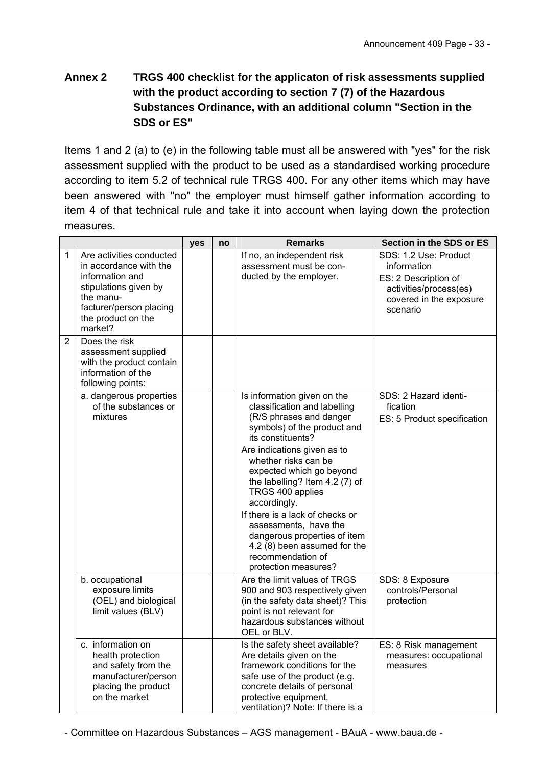# **Annex 2 TRGS 400 checklist for the applicaton of risk assessments supplied with the product according to section 7 (7) of the Hazardous Substances Ordinance, with an additional column "Section in the SDS or ES"**

Items 1 and 2 (a) to (e) in the following table must all be answered with "yes" for the risk assessment supplied with the product to be used as a standardised working procedure according to item 5.2 of technical rule TRGS 400. For any other items which may have been answered with "no" the employer must himself gather information according to item 4 of that technical rule and take it into account when laying down the protection measures.

|                |                                                                                                                                                                         | yes | no | <b>Remarks</b>                                                                                                                                                                                                                                                                                                                                                                                                                                                               | Section in the SDS or ES                                                                                                      |
|----------------|-------------------------------------------------------------------------------------------------------------------------------------------------------------------------|-----|----|------------------------------------------------------------------------------------------------------------------------------------------------------------------------------------------------------------------------------------------------------------------------------------------------------------------------------------------------------------------------------------------------------------------------------------------------------------------------------|-------------------------------------------------------------------------------------------------------------------------------|
| $\mathbf{1}$   | Are activities conducted<br>in accordance with the<br>information and<br>stipulations given by<br>the manu-<br>facturer/person placing<br>the product on the<br>market? |     |    | If no, an independent risk<br>assessment must be con-<br>ducted by the employer.                                                                                                                                                                                                                                                                                                                                                                                             | SDS: 1.2 Use: Product<br>information<br>ES: 2 Description of<br>activities/process(es)<br>covered in the exposure<br>scenario |
| $\overline{2}$ | Does the risk<br>assessment supplied<br>with the product contain<br>information of the<br>following points:                                                             |     |    |                                                                                                                                                                                                                                                                                                                                                                                                                                                                              |                                                                                                                               |
|                | a. dangerous properties<br>of the substances or<br>mixtures                                                                                                             |     |    | Is information given on the<br>classification and labelling<br>(R/S phrases and danger<br>symbols) of the product and<br>its constituents?<br>Are indications given as to<br>whether risks can be<br>expected which go beyond<br>the labelling? Item 4.2 (7) of<br>TRGS 400 applies<br>accordingly.<br>If there is a lack of checks or<br>assessments, have the<br>dangerous properties of item<br>4.2 (8) been assumed for the<br>recommendation of<br>protection measures? | SDS: 2 Hazard identi-<br>fication<br>ES: 5 Product specification                                                              |
|                | b. occupational<br>exposure limits<br>(OEL) and biological<br>limit values (BLV)                                                                                        |     |    | Are the limit values of TRGS<br>900 and 903 respectively given<br>(in the safety data sheet)? This<br>point is not relevant for<br>hazardous substances without<br>OEL or BLV.                                                                                                                                                                                                                                                                                               | SDS: 8 Exposure<br>controls/Personal<br>protection                                                                            |
|                | c. information on<br>health protection<br>and safety from the<br>manufacturer/person<br>placing the product<br>on the market                                            |     |    | Is the safety sheet available?<br>Are details given on the<br>framework conditions for the<br>safe use of the product (e.g.<br>concrete details of personal<br>protective equipment,<br>ventilation)? Note: If there is a                                                                                                                                                                                                                                                    | ES: 8 Risk management<br>measures: occupational<br>measures                                                                   |

- Committee on Hazardous Substances – AGS management - BAuA - www.baua.de -